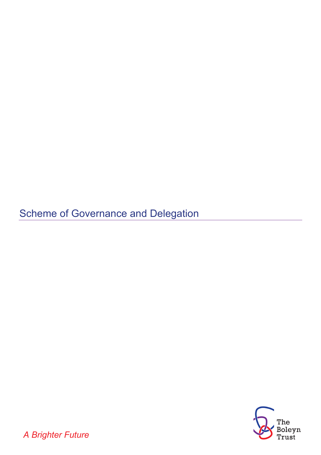**Scheme of Governance and Delegation** 



*A Brighter Future*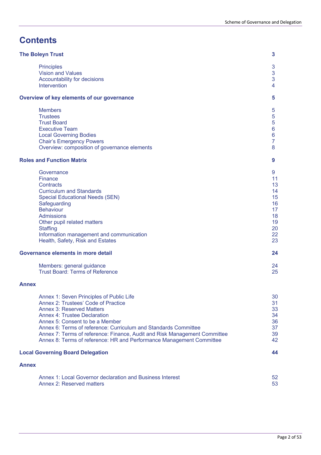# **Contents**

| <b>The Boleyn Trust</b>                                                                                                                                                                                                                                                                                                                                                                                               | 3                                                                               |
|-----------------------------------------------------------------------------------------------------------------------------------------------------------------------------------------------------------------------------------------------------------------------------------------------------------------------------------------------------------------------------------------------------------------------|---------------------------------------------------------------------------------|
| <b>Principles</b><br><b>Vision and Values</b><br>Accountability for decisions<br>Intervention                                                                                                                                                                                                                                                                                                                         | $\mathbf{3}$<br>3<br>3<br>4                                                     |
| Overview of key elements of our governance                                                                                                                                                                                                                                                                                                                                                                            | 5                                                                               |
| <b>Members</b><br><b>Trustees</b><br><b>Trust Board</b><br><b>Executive Team</b><br><b>Local Governing Bodies</b><br><b>Chair's Emergency Powers</b><br>Overview: composition of governance elements                                                                                                                                                                                                                  | 5<br>5<br>5<br>6<br>$6\phantom{a}$<br>$\overline{7}$<br>8                       |
| <b>Roles and Function Matrix</b>                                                                                                                                                                                                                                                                                                                                                                                      | 9                                                                               |
| Governance<br><b>Finance</b><br><b>Contracts</b><br><b>Curriculum and Standards</b><br><b>Special Educational Needs (SEN)</b><br>Safeguarding<br><b>Behaviour</b><br><b>Admissions</b><br>Other pupil related matters<br><b>Staffing</b><br>Information management and communication<br>Health, Safety, Risk and Estates<br>Governance elements in more detail<br>Members: general guidance                           | 9<br>11<br>13<br>14<br>15<br>16<br>17<br>18<br>19<br>20<br>22<br>23<br>24<br>24 |
| <b>Trust Board: Terms of Reference</b>                                                                                                                                                                                                                                                                                                                                                                                | 25                                                                              |
| <b>Annex</b>                                                                                                                                                                                                                                                                                                                                                                                                          |                                                                                 |
| Annex 1: Seven Principles of Public Life<br>Annex 2: Trustees' Code of Practice<br><b>Annex 3: Reserved Matters</b><br><b>Annex 4: Trustee Declaration</b><br>Annex 5: Consent to be a Member<br>Annex 6: Terms of reference: Curriculum and Standards Committee<br>Annex 7: Terms of reference: Finance, Audit and Risk Management Committee<br>Annex 8: Terms of reference: HR and Performance Management Committee | 30<br>31<br>33<br>34<br>36<br>37<br>39<br>42                                    |
| <b>Local Governing Board Delegation</b>                                                                                                                                                                                                                                                                                                                                                                               | 44                                                                              |
| <b>Annex</b>                                                                                                                                                                                                                                                                                                                                                                                                          |                                                                                 |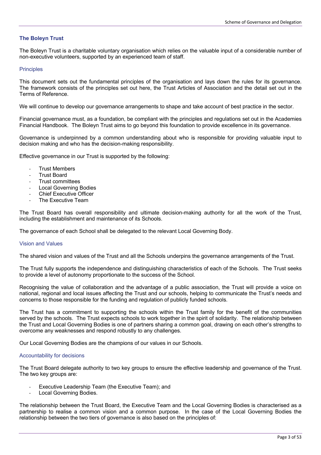# **The Boleyn Trust**

The Boleyn Trust is a charitable voluntary organisation which relies on the valuable input of a considerable number of non-executive volunteers, supported by an experienced team of staff.

## **Principles**

This document sets out the fundamental principles of the organisation and lays down the rules for its governance. The framework consists of the principles set out here, the Trust Articles of Association and the detail set out in the Terms of Reference.

We will continue to develop our governance arrangements to shape and take account of best practice in the sector.

Financial governance must, as a foundation, be compliant with the principles and regulations set out in the Academies Financial Handbook. The Boleyn Trust aims to go beyond this foundation to provide excellence in its governance.

Governance is underpinned by a common understanding about who is responsible for providing valuable input to decision making and who has the decision-making responsibility.

Effective governance in our Trust is supported by the following:

- **Trust Members**
- **Trust Board**
- Trust committees
- Local Governing Bodies
- Chief Executive Officer
- The Executive Team

The Trust Board has overall responsibility and ultimate decision-making authority for all the work of the Trust, including the establishment and maintenance of its Schools.

The governance of each School shall be delegated to the relevant Local Governing Body.

#### Vision and Values

The shared vision and values of the Trust and all the Schools underpins the governance arrangements of the Trust.

The Trust fully supports the independence and distinguishing characteristics of each of the Schools. The Trust seeks to provide a level of autonomy proportionate to the success of the School.

Recognising the value of collaboration and the advantage of a public association, the Trust will provide a voice on national, regional and local issues affecting the Trust and our schools, helping to communicate the Trust's needs and concerns to those responsible for the funding and regulation of publicly funded schools.

The Trust has a commitment to supporting the schools within the Trust family for the benefit of the communities served by the schools. The Trust expects schools to work together in the spirit of solidarity. The relationship between the Trust and Local Governing Bodies is one of partners sharing a common goal, drawing on each other's strengths to overcome any weaknesses and respond robustly to any challenges.

Our Local Governing Bodies are the champions of our values in our Schools.

#### Accountability for decisions

The Trust Board delegate authority to two key groups to ensure the effective leadership and governance of the Trust. The two key groups are:

- Executive Leadership Team (the Executive Team); and
- Local Governing Bodies.

The relationship between the Trust Board, the Executive Team and the Local Governing Bodies is characterised as a partnership to realise a common vision and a common purpose. In the case of the Local Governing Bodies the relationship between the two tiers of governance is also based on the principles of: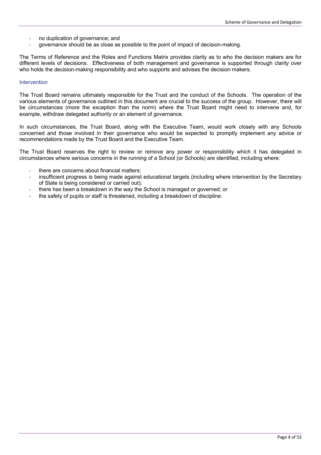- no duplication of governance; and
- governance should be as close as possible to the point of impact of decision-making.

The Terms of Reference and the Roles and Functions Matrix provides clarity as to who the decision makers are for different levels of decisions. Effectiveness of both management and governance is supported through clarity over who holds the decision-making responsibility and who supports and advises the decision makers.

#### Intervention

The Trust Board remains ultimately responsible for the Trust and the conduct of the Schools. The operation of the various elements of governance outlined in this document are crucial to the success of the group. However, there will be circumstances (more the exception than the norm) where the Trust Board might need to intervene and, for example, withdraw delegated authority or an element of governance.

In such circumstances, the Trust Board, along with the Executive Team, would work closely with any Schools concerned and those involved in their governance who would be expected to promptly implement any advice or recommendations made by the Trust Board and the Executive Team.

The Trust Board reserves the right to review or remove any power or responsibility which it has delegated in circumstances where serious concerns in the running of a School (or Schools) are identified, including where:

- there are concerns about financial matters;
- insufficient progress is being made against educational targets (including where intervention by the Secretary of State is being considered or carried out);
- there has been a breakdown in the way the School is managed or governed; or
- the safety of pupils or staff is threatened, including a breakdown of discipline.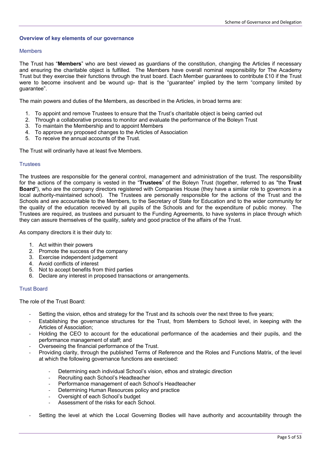# **Overview of key elements of our governance**

## Members

The Trust has "**Members**" who are best viewed as guardians of the constitution, changing the Articles if necessary and ensuring the charitable object is fulfilled. The Members have overall nominal responsibility for The Academy Trust but they exercise their functions through the trust board. Each Member guarantees to contribute £10 if the Trust were to become insolvent and be wound up- that is the "guarantee" implied by the term "company limited by guarantee".

The main powers and duties of the Members, as described in the Articles, in broad terms are:

- 1. To appoint and remove Trustees to ensure that the Trust's charitable object is being carried out
- 2. Through a collaborative process to monitor and evaluate the performance of the Boleyn Trust
- 3. To maintain the Membership and to appoint Members
- 4. To approve any proposed changes to the Articles of Association
- 5. To receive the annual accounts of the Trust.

The Trust will ordinarily have at least five Members.

#### **Trustees**

The trustees are responsible for the general control, management and administration of the trust. The responsibility for the actions of the company is vested in the "**Trustees**" of the Boleyn Trust (together, referred to as "the **Trust Board**"), who are the company directors registered with Companies House (they have a similar role to governors in a local authority-maintained school). The Trustees are personally responsible for the actions of the Trust and the Schools and are accountable to the Members, to the Secretary of State for Education and to the wider community for the quality of the education received by all pupils of the Schools and for the expenditure of public money. The Trustees are required, as trustees and pursuant to the Funding Agreements, to have systems in place through which they can assure themselves of the quality, safety and good practice of the affairs of the Trust.

As company directors it is their duty to:

- 1. Act within their powers
- 2. Promote the success of the company
- 3. Exercise independent judgement
- 4. Avoid conflicts of interest
- 5. Not to accept benefits from third parties
- 6. Declare any interest in proposed transactions or arrangements.

# Trust Board

The role of the Trust Board:

- Setting the vision, ethos and strategy for the Trust and its schools over the next three to five years;
- Establishing the governance structures for the Trust, from Members to School level, in keeping with the Articles of Association;
- Holding the CEO to account for the educational performance of the academies and their pupils, and the performance management of staff; and
- Overseeing the financial performance of the Trust.
- Providing clarity, through the published Terms of Reference and the Roles and Functions Matrix, of the level at which the following governance functions are exercised:
	- Determining each individual School's vision, ethos and strategic direction
	- Recruiting each School's Headteacher
	- Performance management of each School's Headteacher
	- Determining Human Resources policy and practice
	- Oversight of each School's budget
	- Assessment of the risks for each School.
- Setting the level at which the Local Governing Bodies will have authority and accountability through the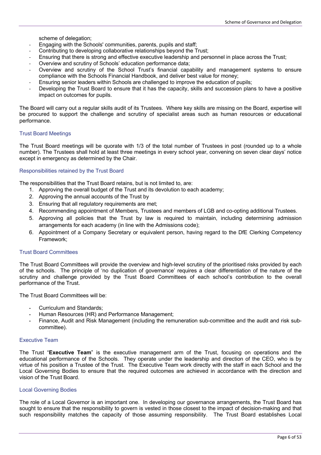scheme of delegation;

- Engaging with the Schools' communities, parents, pupils and staff;
- Contributing to developing collaborative relationships beyond the Trust;
- Ensuring that there is strong and effective executive leadership and personnel in place across the Trust;
- Overview and scrutiny of Schools' education performance data;
- Overview and scrutiny of the School Trust's financial capability and management systems to ensure compliance with the Schools Financial Handbook, and deliver best value for money;
- Ensuring senior leaders within Schools are challenged to improve the education of pupils;
- Developing the Trust Board to ensure that it has the capacity, skills and succession plans to have a positive impact on outcomes for pupils.

The Board will carry out a regular skills audit of its Trustees. Where key skills are missing on the Board, expertise will be procured to support the challenge and scrutiny of specialist areas such as human resources or educational performance.

# Trust Board Meetings

The Trust Board meetings will be quorate with 1/3 of the total number of Trustees in post (rounded up to a whole number). The Trustees shall hold at least three meetings in every school year, convening on seven clear days' notice except in emergency as determined by the Chair.

# Responsibilities retained by the Trust Board

The responsibilities that the Trust Board retains, but is not limited to, are:

- 1. Approving the overall budget of the Trust and its devolution to each academy;
- 2. Approving the annual accounts of the Trust by
- 3. Ensuring that all regulatory requirements are met;
- 4. Recommending appointment of Members, Trustees and members of LGB and co-opting additional Trustees.
- 5. Approving all policies that the Trust by law is required to maintain, including determining admission arrangements for each academy (in line with the Admissions code);
- 6. Appointment of a Company Secretary or equivalent person, having regard to the DfE Clerking Competency Framework;

# Trust Board Committees

The Trust Board Committees will provide the overview and high-level scrutiny of the prioritised risks provided by each of the schools. The principle of 'no duplication of governance' requires a clear differentiation of the nature of the scrutiny and challenge provided by the Trust Board Committees of each school's contribution to the overall performance of the Trust.

The Trust Board Committees will be:

- **-** Curriculum and Standards;
- **-** Human Resources (HR) and Performance Management;
- **-** Finance, Audit and Risk Management (including the remuneration sub-committee and the audit and risk subcommittee).

## Executive Team

The Trust "**Executive Team**" is the executive management arm of the Trust, focusing on operations and the educational performance of the Schools. They operate under the leadership and direction of the CEO, who is by virtue of his position a Trustee of the Trust. The Executive Team work directly with the staff in each School and the Local Governing Bodies to ensure that the required outcomes are achieved in accordance with the direction and vision of the Trust Board.

#### Local Governing Bodies

The role of a Local Governor is an important one. In developing our governance arrangements, the Trust Board has sought to ensure that the responsibility to govern is vested in those closest to the impact of decision-making and that such responsibility matches the capacity of those assuming responsibility. The Trust Board establishes Local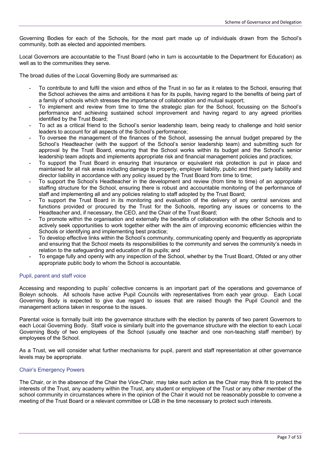Governing Bodies for each of the Schools, for the most part made up of individuals drawn from the School's community, both as elected and appointed members.

Local Governors are accountable to the Trust Board (who in turn is accountable to the Department for Education) as well as to the communities they serve.

The broad duties of the Local Governing Body are summarised as:

- **-** To contribute to and fulfil the vision and ethos of the Trust in so far as it relates to the School, ensuring that the School achieves the aims and ambitions it has for its pupils, having regard to the benefits of being part of a family of schools which stresses the importance of collaboration and mutual support;
- **-** To implement and review from time to time the strategic plan for the School, focussing on the School's performance and achieving sustained school improvement and having regard to any agreed priorities identified by the Trust Board;
- **-** To act as a critical friend to the School's senior leadership team, being ready to challenge and hold senior leaders to account for all aspects of the School's performance;
- **-** To oversee the management of the finances of the School, assessing the annual budget prepared by the School's Headteacher (with the support of the School's senior leadership team) and submitting such for approval by the Trust Board, ensuring that the School works within its budget and the School's senior leadership team adopts and implements appropriate risk and financial management policies and practices;
- **-** To support the Trust Board in ensuring that insurance or equivalent risk protection is put in place and maintained for all risk areas including damage to property, employer liability, public and third party liability and director liability in accordance with any policy issued by the Trust Board from time to time;
- **-** To support the School's Headteacher in the development and review (from time to time) of an appropriate staffing structure for the School, ensuring there is robust and accountable monitoring of the performance of staff and implementing all and any policies relating to staff adopted by the Trust Board;
- **-** To support the Trust Board in its monitoring and evaluation of the delivery of any central services and functions provided or procured by the Trust for the Schools, reporting any issues or concerns to the Headteacher and, if necessary, the CEO, and the Chair of the Trust Board;
- **-** To promote within the organisation and externally the benefits of collaboration with the other Schools and to actively seek opportunities to work together either with the aim of improving economic efficiencies within the Schools or identifying and implementing best practice;
- **-** To develop effective links within the School's community, communicating openly and frequently as appropriate and ensuring that the School meets its responsibilities to the community and serves the community's needs in relation to the safeguarding and education of its pupils; and
- **-** To engage fully and openly with any inspection of the School, whether by the Trust Board, Ofsted or any other appropriate public body to whom the School is accountable.

# Pupil, parent and staff voice

Accessing and responding to pupils' collective concerns is an important part of the operations and governance of Boleyn schools. All schools have active Pupil Councils with representatives from each year group. Each Local Governing Body is expected to give due regard to issues that are raised though the Pupil Council and the management actions taken in response to the issues.

Parental voice is formally built into the governance structure with the election by parents of two parent Governors to each Local Governing Body. Staff voice is similarly built into the governance structure with the election to each Local Governing Body of two employees of the School (usually one teacher and one non-teaching staff member) by employees of the School.

As a Trust, we will consider what further mechanisms for pupil, parent and staff representation at other governance levels may be appropriate.

# Chair's Emergency Powers

The Chair, or in the absence of the Chair the Vice-Chair, may take such action as the Chair may think fit to protect the interests of the Trust, any academy within the Trust, any student or employee of the Trust or any other member of the school community in circumstances where in the opinion of the Chair it would not be reasonably possible to convene a meeting of the Trust Board or a relevant committee or LGB in the time necessary to protect such interests.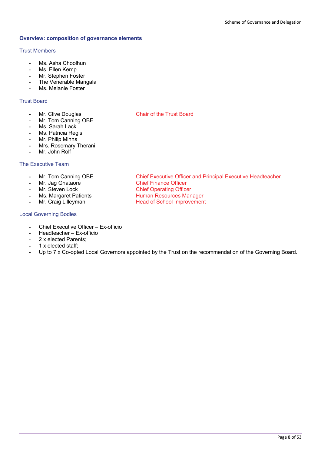# **Overview: composition of governance elements**

# Trust Members

- **-** Ms. Asha Choolhun
- **-** Ms. Ellen Kemp
- **-** Mr. Stephen Foster
- **-** The Venerable Mangala
- **-** Ms. Melanie Foster

# Trust Board

- 
- **-** Mr. Tom Canning OBE
- **-** Ms. Sarah Lack
- **-** Ms. Patricia Regis
- **-** Mr. Philip Minns
- **-** Mrs. Rosemary Therani
- **-** Mr. John Rolf

# The Executive Team

- **-** Mr. Tom Canning OBE Chief Executive Officer and Principal Executive Headteacher
- **Mr. Jag Ghataore Chief Finance Officer<br>
Mr. Steven Lock Chief Operating Office**
- 
- **Ms. Margaret Patients <b>All Access** Human Resources Manager
- Mr. Craig Lilleyman **-** Head of School Improvement

# Local Governing Bodies

- **-** Chief Executive Officer Ex-officio
- **-** Headteacher Ex-officio
- **-** 2 x elected Parents;
- **-** 1 x elected staff;
- **-** Up to 7 x Co-opted Local Governors appointed by the Trust on the recommendation of the Governing Board.

**Chief Operating Officer** 

# **-** Mr. Clive Douglas **Chair of the Trust Board**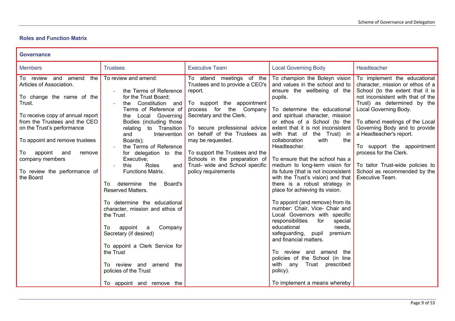# **Roles and Function Matrix**

| <b>Governance</b>                                                                                                                                                                                                                                                                                                                    |                                                                                                                                                                                                                                                                                                                                                                                                                                                                                                                                                                                                                                                                                                                |                                                                                                                                                                                                                                                                                                                                                                                  |                                                                                                                                                                                                                                                                                                                                                                                                                                                                                                                                                                                                                                                                                                                                                                                                                                                                                                                                            |                                                                                                                                                                                                                                                                                                                                                                                                                                                 |
|--------------------------------------------------------------------------------------------------------------------------------------------------------------------------------------------------------------------------------------------------------------------------------------------------------------------------------------|----------------------------------------------------------------------------------------------------------------------------------------------------------------------------------------------------------------------------------------------------------------------------------------------------------------------------------------------------------------------------------------------------------------------------------------------------------------------------------------------------------------------------------------------------------------------------------------------------------------------------------------------------------------------------------------------------------------|----------------------------------------------------------------------------------------------------------------------------------------------------------------------------------------------------------------------------------------------------------------------------------------------------------------------------------------------------------------------------------|--------------------------------------------------------------------------------------------------------------------------------------------------------------------------------------------------------------------------------------------------------------------------------------------------------------------------------------------------------------------------------------------------------------------------------------------------------------------------------------------------------------------------------------------------------------------------------------------------------------------------------------------------------------------------------------------------------------------------------------------------------------------------------------------------------------------------------------------------------------------------------------------------------------------------------------------|-------------------------------------------------------------------------------------------------------------------------------------------------------------------------------------------------------------------------------------------------------------------------------------------------------------------------------------------------------------------------------------------------------------------------------------------------|
| <b>Members</b>                                                                                                                                                                                                                                                                                                                       | <b>Trustees</b>                                                                                                                                                                                                                                                                                                                                                                                                                                                                                                                                                                                                                                                                                                | <b>Executive Team</b>                                                                                                                                                                                                                                                                                                                                                            | <b>Local Governing Body</b>                                                                                                                                                                                                                                                                                                                                                                                                                                                                                                                                                                                                                                                                                                                                                                                                                                                                                                                | Headteacher                                                                                                                                                                                                                                                                                                                                                                                                                                     |
| To review and amend<br>the<br>Articles of Association.<br>To change the name of the<br>Trust.<br>To receive copy of annual report<br>from the Trustees and the CEO<br>on the Trust's performance<br>To appoint and remove trustees<br>appoint<br>To<br>and<br>remove<br>company members<br>To review the performance of<br>the Board | To review and amend:<br>the Terms of Reference<br>for the Trust Board;<br>Constitution and<br>the<br>Terms of Reference of<br>Local Governing<br>the<br>Bodies (including those<br>relating to Transition<br>and<br>Intervention<br>Boards);<br>the Terms of Reference<br>for delegation to the<br>Executive;<br>Roles<br>this<br>and $\vert$<br>Functions Matrix.<br>determine<br>the<br>Board's<br>To<br><b>Reserved Matters.</b><br>To determine the educational<br>character, mission and ethos of<br>the Trust<br>appoint<br>Company<br>To<br>a<br>Secretary (if desired)<br>To appoint a Clerk Service for<br>the Trust<br>To review and amend the<br>policies of the Trust<br>To appoint and remove the | To attend meetings of the<br>Trustees and to provide a CEO's<br>report.<br>To support the appointment<br>process for the Company<br>Secretary and the Clerk.<br>To secure professional advice<br>on behalf of the Trustees as<br>may be requested.<br>To support the Trustees and the<br>Schools in the preparation of<br>Trust- wide and School specific<br>policy requirements | To champion the Boleyn vision<br>and values in the school and to<br>ensure the wellbeing of the<br>pupils.<br>To determine the educational<br>and spiritual character, mission<br>or ethos of a School (to the<br>extent that it is not inconsistent<br>with that of the Trust) in<br>collaboration<br>with<br>the<br>Headteacher.<br>To ensure that the school has a<br>medium to long-term vision for<br>its future (that is not inconsistent<br>with the Trust's vision) and that<br>there is a robust strategy in<br>place for achieving its vision.<br>To appoint (and remove) from its<br>number: Chair, Vice- Chair and<br>Local Governors with specific<br>responsibilities<br>for<br>special<br>educational<br>needs.<br>safeguarding,<br>pupil<br>premium<br>and financial matters.<br>To review and amend<br>the<br>policies of the School (in line<br>with any<br>Trust prescribed<br>policy).<br>To implement a means whereby | To implement the educational<br>character, mission or ethos of a<br>School (to the extent that it is<br>not inconsistent with that of the<br>Trust) as determined by the<br>Local Governing Body.<br>To attend meetings of the Local<br>Governing Body and to provide<br>a Headteacher's report.<br>To support the appointment<br>process for the Clerk.<br>To tailor Trust-wide policies to<br>School as recommended by the<br>Executive Team. |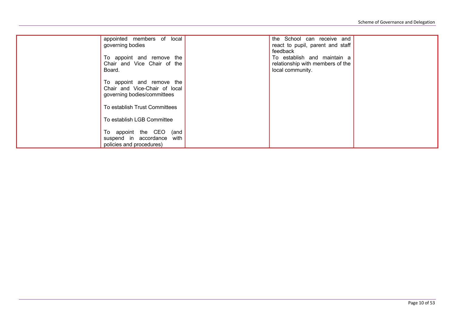| appointed members of local<br>governing bodies                                            |      | the School can receive and<br>react to pupil, parent and staff<br>feedback          |  |
|-------------------------------------------------------------------------------------------|------|-------------------------------------------------------------------------------------|--|
| To appoint and remove the<br>Chair and Vice Chair of the<br>Board.                        |      | To establish and maintain a<br>relationship with members of the<br>local community. |  |
| To appoint and remove the<br>Chair and Vice-Chair of local<br>governing bodies/committees |      |                                                                                     |  |
| To establish Trust Committees                                                             |      |                                                                                     |  |
| To establish LGB Committee                                                                |      |                                                                                     |  |
| To appoint the CEO (and<br>suspend in accordance<br>policies and procedures)              | with |                                                                                     |  |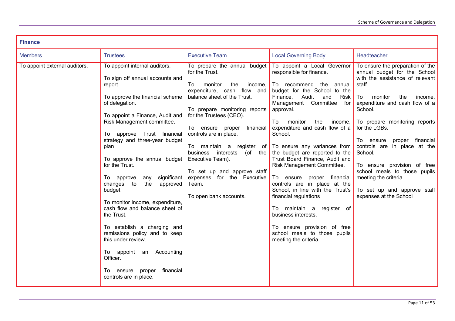| <b>Finance</b>                |                                                                                                                                                                                                                                                                                                                                                                                                                                                                                                                                                                                                                                                                                                                    |                                                                                                                                                                                                                                                                                                                                                                                                                                     |                                                                                                                                                                                                                                                                                                                                                                                                                                                                                                                                                                                                                                                                                                         |                                                                                                                                                                                                                                                                                                                                                                                                                                                                              |
|-------------------------------|--------------------------------------------------------------------------------------------------------------------------------------------------------------------------------------------------------------------------------------------------------------------------------------------------------------------------------------------------------------------------------------------------------------------------------------------------------------------------------------------------------------------------------------------------------------------------------------------------------------------------------------------------------------------------------------------------------------------|-------------------------------------------------------------------------------------------------------------------------------------------------------------------------------------------------------------------------------------------------------------------------------------------------------------------------------------------------------------------------------------------------------------------------------------|---------------------------------------------------------------------------------------------------------------------------------------------------------------------------------------------------------------------------------------------------------------------------------------------------------------------------------------------------------------------------------------------------------------------------------------------------------------------------------------------------------------------------------------------------------------------------------------------------------------------------------------------------------------------------------------------------------|------------------------------------------------------------------------------------------------------------------------------------------------------------------------------------------------------------------------------------------------------------------------------------------------------------------------------------------------------------------------------------------------------------------------------------------------------------------------------|
| <b>Members</b>                | <b>Trustees</b>                                                                                                                                                                                                                                                                                                                                                                                                                                                                                                                                                                                                                                                                                                    | <b>Executive Team</b>                                                                                                                                                                                                                                                                                                                                                                                                               | <b>Local Governing Body</b>                                                                                                                                                                                                                                                                                                                                                                                                                                                                                                                                                                                                                                                                             | Headteacher                                                                                                                                                                                                                                                                                                                                                                                                                                                                  |
| To appoint external auditors. | To appoint internal auditors.<br>To sign off annual accounts and<br>report.<br>To approve the financial scheme<br>of delegation.<br>To appoint a Finance, Audit and<br>Risk Management committee.<br>To approve Trust financial<br>strategy and three-year budget<br>plan<br>To approve the annual budget $ $ Executive Team).<br>for the Trust.<br>To approve<br>significant<br>any<br>changes to<br>the<br>approved<br>budget.<br>To monitor income, expenditure,<br>cash flow and balance sheet of<br>the Trust.<br>To establish a charging and<br>remissions policy and to keep<br>this under review.<br>Accounting<br>To appoint an<br>Officer.<br>financial<br>To ensure<br>proper<br>controls are in place. | To prepare the annual budget<br>for the Trust.<br>monitor<br>the<br>To<br>income,<br>expenditure, cash flow and<br>balance sheet of the Trust.<br>To prepare monitoring reports<br>for the Trustees (CEO).<br>To ensure proper<br>financial<br>controls are in place.<br>To maintain a register of<br>business interests<br>(of the<br>To set up and approve staff<br>expenses for the Executive<br>Team.<br>To open bank accounts. | To appoint a Local Governor<br>responsible for finance.<br>the<br>To recommend<br>annual<br>budget for the School to the<br>Finance,<br>Audit<br>and<br>Risk<br>Management<br>Committee<br>for<br>approval.<br>To<br>monitor<br>income,<br>the<br>expenditure and cash flow of a<br>School.<br>To ensure any variances from<br>the budget are reported to the<br>Trust Board Finance, Audit and<br>Risk Management Committee.<br>proper financial<br>To ensure<br>controls are in place at the<br>School, in line with the Trust's<br>financial regulations<br>To maintain a register of<br>business interests.<br>To ensure provision of free<br>school meals to those pupils<br>meeting the criteria. | To ensure the preparation of the<br>annual budget for the School<br>with the assistance of relevant<br>staff.<br>To<br>monitor<br>the<br>income,<br>expenditure and cash flow of a<br>School.<br>To prepare monitoring reports<br>for the LGBs.<br>proper financial<br>To ensure<br>controls are in place at the<br>School.<br>To ensure provision of free<br>school meals to those pupils<br>meeting the criteria.<br>To set up and approve staff<br>expenses at the School |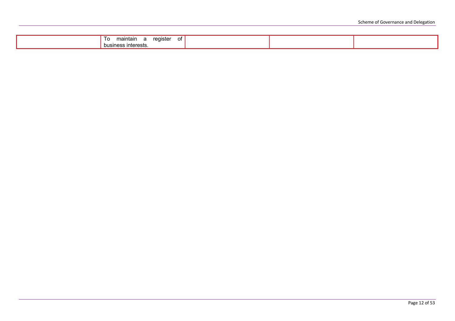| maintain<br>reaister<br>∩t<br>10<br>υı |  |  |
|----------------------------------------|--|--|
| business interests.                    |  |  |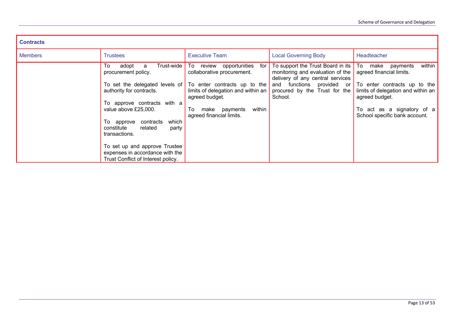| <b>Contracts</b> |                                                                                                                                                                                                                                                 |                                                                                                                                                                                                                                                                             |                                                                                                                                                                                                       |                                                                                                                                                                                           |
|------------------|-------------------------------------------------------------------------------------------------------------------------------------------------------------------------------------------------------------------------------------------------|-----------------------------------------------------------------------------------------------------------------------------------------------------------------------------------------------------------------------------------------------------------------------------|-------------------------------------------------------------------------------------------------------------------------------------------------------------------------------------------------------|-------------------------------------------------------------------------------------------------------------------------------------------------------------------------------------------|
| <b>Members</b>   | <b>Trustees</b>                                                                                                                                                                                                                                 | <b>Executive Team</b>                                                                                                                                                                                                                                                       | <b>Local Governing Body</b>                                                                                                                                                                           | Headteacher                                                                                                                                                                               |
|                  | To<br>adopt<br>a<br>procurement policy.<br>authority for contracts.<br>To approve contracts with a<br>value above £25,000.<br>which<br>To approve contracts<br>related<br>constitute<br>party<br>transactions.<br>To set up and approve Trustee | Trust-wide To review opportunities<br>for<br>collaborative procurement.<br>To set the delegated levels of $\overline{ }$ To enter contracts up to the<br>limits of delegation and within an<br>agreed budget.<br>within<br>make payments<br>To:<br>agreed financial limits. | To support the Trust Board in its   To make payments<br>monitoring and evaluation of the<br>delivery of any central services<br>and functions provided or<br>procured by the Trust for the<br>School. | within<br>agreed financial limits.<br>To enter contracts up to the<br>limits of delegation and within an<br>agreed budget.<br>To act as a signatory of a<br>School specific bank account. |
|                  | expenses in accordance with the<br>Trust Conflict of Interest policy.                                                                                                                                                                           |                                                                                                                                                                                                                                                                             |                                                                                                                                                                                                       |                                                                                                                                                                                           |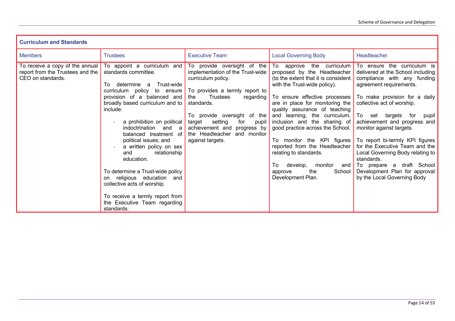| <b>Curriculum and Standards</b>                                                          |                                                                                                                                                                                                                                                                                                                                                                                                                                                                                                                                                                                                                 |                                                                                                                                                                                                                                                                                              |                                                                                                                                                                                                                                                                                                                                                                                                                                                                                                                          |                                                                                                                                                                                                                                                                                                                                                                                                                                                                                                             |
|------------------------------------------------------------------------------------------|-----------------------------------------------------------------------------------------------------------------------------------------------------------------------------------------------------------------------------------------------------------------------------------------------------------------------------------------------------------------------------------------------------------------------------------------------------------------------------------------------------------------------------------------------------------------------------------------------------------------|----------------------------------------------------------------------------------------------------------------------------------------------------------------------------------------------------------------------------------------------------------------------------------------------|--------------------------------------------------------------------------------------------------------------------------------------------------------------------------------------------------------------------------------------------------------------------------------------------------------------------------------------------------------------------------------------------------------------------------------------------------------------------------------------------------------------------------|-------------------------------------------------------------------------------------------------------------------------------------------------------------------------------------------------------------------------------------------------------------------------------------------------------------------------------------------------------------------------------------------------------------------------------------------------------------------------------------------------------------|
| <b>Members</b>                                                                           | <b>Trustees</b>                                                                                                                                                                                                                                                                                                                                                                                                                                                                                                                                                                                                 | <b>Executive Team</b>                                                                                                                                                                                                                                                                        | <b>Local Governing Body</b>                                                                                                                                                                                                                                                                                                                                                                                                                                                                                              | Headteacher                                                                                                                                                                                                                                                                                                                                                                                                                                                                                                 |
| To receive a copy of the annual<br>report from the Trustees and the<br>CEO on standards. | To appoint a curriculum and<br>standards committee.<br>Trust-wide<br>determine a<br>To I<br>curriculum policy to ensure $\overline{}$ To provides a termly report to<br>provision of a balanced and<br>broadly based curriculum and to<br>include:<br>a prohibition on political<br>indoctrination<br>and a<br>balanced treatment of<br>political issues; and<br>a written policy on sex<br>relationship<br>and<br>education.<br>To determine a Trust-wide policy<br>on religious education and<br>collective acts of worship.<br>To receive a termly report from<br>the Executive Team regarding<br>standards. | To provide oversight of the<br>implementation of the Trust-wide<br>curriculum policy.<br>Trustees<br>the<br>regarding<br>standards.<br>To provide oversight of the<br>setting<br>target<br>for<br>pupil<br>achievement and progress by<br>the Headteacher<br>and monitor<br>against targets. | To approve the curriculum<br>proposed by the Headteacher<br>(to the extent that it is consistent<br>with the Trust-wide policy).<br>To ensure effective processes<br>are in place for monitoring the<br>quality assurance of teaching<br>and learning, the curriculum,<br>inclusion and the sharing of<br>good practice across the School.<br>To monitor the KPI figures<br>reported from the Headteacher<br>relating to standards.<br>To<br>develop,<br>monitor<br>and<br>the<br>School<br>approve<br>Development Plan. | To ensure the curriculum is<br>delivered at the School including<br>compliance with any funding<br>agreement requirements.<br>To make provision for a daily<br>collective act of worship.<br>To set targets<br>for<br>pupil<br>achievement and progress and<br>monitor against targets.<br>To report bi-termly KPI figures<br>for the Executive Team and the<br>Local Governing Body relating to<br>standards.<br>To prepare a draft School<br>Development Plan for approval<br>by the Local Governing Body |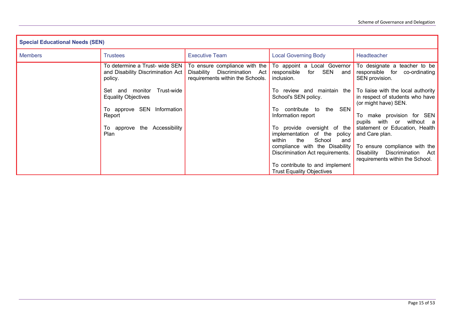| <b>Special Educational Needs (SEN)</b> |                                                                                |                                                                                                       |                                                                                               |                                                                                                      |
|----------------------------------------|--------------------------------------------------------------------------------|-------------------------------------------------------------------------------------------------------|-----------------------------------------------------------------------------------------------|------------------------------------------------------------------------------------------------------|
| <b>Members</b>                         | <b>Trustees</b>                                                                | <b>Executive Team</b>                                                                                 | <b>Local Governing Body</b>                                                                   | Headteacher                                                                                          |
|                                        | To determine a Trust- wide SEN<br>and Disability Discrimination Act<br>policy. | To ensure compliance with the<br>Disability<br>Discrimination Act<br>requirements within the Schools. | To appoint a Local Governor<br>responsible<br>for SEN<br>and<br>inclusion.                    | To designate a teacher to be<br>responsible for<br>co-ordinating<br>SEN provision.                   |
|                                        | Trust-wide<br>Set and monitor<br><b>Equality Objectives</b>                    |                                                                                                       | To review and maintain the<br>School's SEN policy.                                            | To liaise with the local authority<br>in respect of students who have<br>(or might have) SEN.        |
|                                        | To approve SEN Information<br>Report                                           |                                                                                                       | SEN<br>To contribute to<br>the<br>Information report                                          | To make provision for SEN<br>pupils with or without a                                                |
|                                        | To approve the Accessibility<br><b>Plan</b>                                    |                                                                                                       | To provide oversight of the<br>implementation of the policy<br>the<br>School<br>within<br>and | statement or Education, Health<br>and Care plan.                                                     |
|                                        |                                                                                |                                                                                                       | compliance with the Disability $\ $<br>Discrimination Act requirements.                       | To ensure compliance with the<br>Discrimination Act<br>Disability<br>requirements within the School. |
|                                        |                                                                                |                                                                                                       | To contribute to and implement<br><b>Trust Equality Objectives</b>                            |                                                                                                      |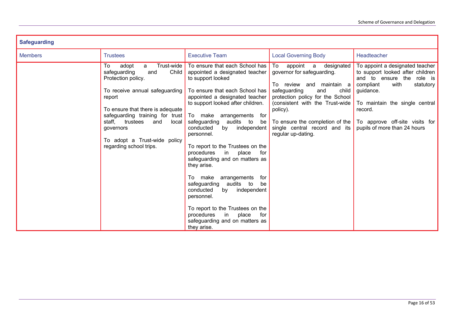| <b>Safeguarding</b> |                                                                                                                                                                                                                                                                                                                               |                                                                                                                                                                                                                                                                                                                                                                                                                                                                                                                                                                                                                                                                                               |                                                                                                                                                                                                                                                                                                      |                                                                                                                                                                                                                                                                |
|---------------------|-------------------------------------------------------------------------------------------------------------------------------------------------------------------------------------------------------------------------------------------------------------------------------------------------------------------------------|-----------------------------------------------------------------------------------------------------------------------------------------------------------------------------------------------------------------------------------------------------------------------------------------------------------------------------------------------------------------------------------------------------------------------------------------------------------------------------------------------------------------------------------------------------------------------------------------------------------------------------------------------------------------------------------------------|------------------------------------------------------------------------------------------------------------------------------------------------------------------------------------------------------------------------------------------------------------------------------------------------------|----------------------------------------------------------------------------------------------------------------------------------------------------------------------------------------------------------------------------------------------------------------|
| <b>Members</b>      | <b>Trustees</b>                                                                                                                                                                                                                                                                                                               | <b>Executive Team</b>                                                                                                                                                                                                                                                                                                                                                                                                                                                                                                                                                                                                                                                                         | <b>Local Governing Body</b>                                                                                                                                                                                                                                                                          | Headteacher                                                                                                                                                                                                                                                    |
|                     | Trust-wide<br>adopt<br>To<br>a<br>safeguarding<br>Child<br>and<br>Protection policy.<br>To receive annual safeguarding<br>report<br>To ensure that there is adequate<br>safeguarding training for trust To make<br>trustees<br>staff.<br>and<br>local<br>governors<br>To adopt a Trust-wide policy<br>regarding school trips. | To ensure that each School has<br>appointed a designated teacher<br>to support looked<br>To ensure that each School has<br>appointed a designated teacher<br>to support looked after children.<br>arrangements<br>for<br>audits to<br>safeguarding<br>be<br>conducted<br>by<br>independent<br>personnel.<br>To report to the Trustees on the<br>procedures<br>$\mathsf{in}$<br>place<br>for<br>safeguarding and on matters as<br>they arise.<br>make<br>arrangements<br>To<br>for<br>safeguarding audits to<br>be<br>conducted<br>by<br>independent<br>personnel.<br>To report to the Trustees on the<br>procedures<br>place<br>for<br>in in<br>safeguarding and on matters as<br>they arise. | appoint a<br>To<br>designated<br>governor for safeguarding.<br>To review and maintain a<br>safeguarding<br>child<br>and<br>protection policy for the School<br>(consistent with the Trust-wide<br>policy).<br>To ensure the completion of the<br>single central record and its<br>regular up-dating. | To appoint a designated teacher<br>to support looked after children<br>and to ensure the role is<br>compliant<br>with<br>statutory<br>guidance.<br>To maintain the single central<br>record.<br>To approve off-site visits for<br>pupils of more than 24 hours |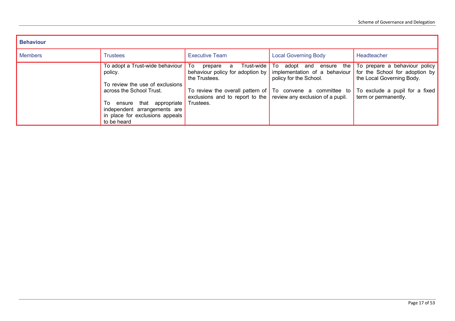| <b>Behaviour</b> |                                                                                                                                                                                    |                                                                                                                                                                               |                                                                                                                                |                                                                                                                                                                                      |
|------------------|------------------------------------------------------------------------------------------------------------------------------------------------------------------------------------|-------------------------------------------------------------------------------------------------------------------------------------------------------------------------------|--------------------------------------------------------------------------------------------------------------------------------|--------------------------------------------------------------------------------------------------------------------------------------------------------------------------------------|
| <b>Members</b>   | <b>Trustees</b>                                                                                                                                                                    | <b>Executive Team</b>                                                                                                                                                         | <b>Local Governing Body</b>                                                                                                    | Headteacher                                                                                                                                                                          |
|                  | To adopt a Trust-wide behaviour To<br>policy.<br>To review the use of exclusions<br>across the School Trust.<br>ensure that<br>appropriate  <br>To<br>independent arrangements are | Trust-wide   To<br>prepare<br>a<br>behaviour policy for adoption by<br>the Trustees.<br>exclusions and to report to the $\vert$ review any exclusion of a pupil.<br>Trustees. | the<br>adopt and<br>ensure<br>policy for the School.<br>To review the overall pattern of $\boxed{7}$ To convene a committee to | To prepare a behaviour policy<br>implementation of a behaviour for the School for adoption by<br>the Local Governing Body.<br>To exclude a pupil for a fixed<br>term or permanently. |
|                  | in place for exclusions appeals<br>to be heard                                                                                                                                     |                                                                                                                                                                               |                                                                                                                                |                                                                                                                                                                                      |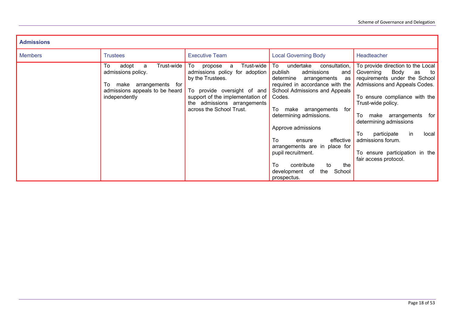| <b>Admissions</b> |                                                                                                                                     |                                                                                                                                                                                                                      |                                                                                                                                                                                                                                                                                                                                                                                                                                                |                                                                                                                                                                                                                                                                                                                                                                             |
|-------------------|-------------------------------------------------------------------------------------------------------------------------------------|----------------------------------------------------------------------------------------------------------------------------------------------------------------------------------------------------------------------|------------------------------------------------------------------------------------------------------------------------------------------------------------------------------------------------------------------------------------------------------------------------------------------------------------------------------------------------------------------------------------------------------------------------------------------------|-----------------------------------------------------------------------------------------------------------------------------------------------------------------------------------------------------------------------------------------------------------------------------------------------------------------------------------------------------------------------------|
| <b>Members</b>    | <b>Trustees</b>                                                                                                                     | <b>Executive Team</b>                                                                                                                                                                                                | <b>Local Governing Body</b>                                                                                                                                                                                                                                                                                                                                                                                                                    | Headteacher                                                                                                                                                                                                                                                                                                                                                                 |
|                   | To<br>Trust-wide<br>adopt<br>a<br>admissions policy.<br>To make arrangements for<br>admissions appeals to be heard<br>independently | To<br>Trust-wide<br>propose<br>а<br>admissions policy for adoption<br>by the Trustees.<br>To provide oversight of and<br>support of the implementation of<br>the admissions arrangements<br>across the School Trust. | To<br>undertake<br>consultation,<br>admissions<br>publish<br>and<br>determine<br>arrangements<br>as<br>required in accordance with the<br>School Admissions and Appeals<br>Codes.<br>To<br>for<br>arrangements<br>make<br>determining admissions.<br>Approve admissions<br>To<br>effective<br>ensure<br>arrangements are in place for<br>pupil recruitment.<br>To<br>contribute<br>the<br>to<br>development of<br>the<br>School<br>prospectus. | To provide direction to the Local<br>Body<br>Governing<br>as<br>to<br>requirements under the School<br>Admissions and Appeals Codes.<br>To ensure compliance with the<br>Trust-wide policy.<br>make arrangements<br>for<br>To<br>determining admissions<br>To<br>participate<br>in<br>local<br>admissions forum.<br>To ensure participation in the<br>fair access protocol. |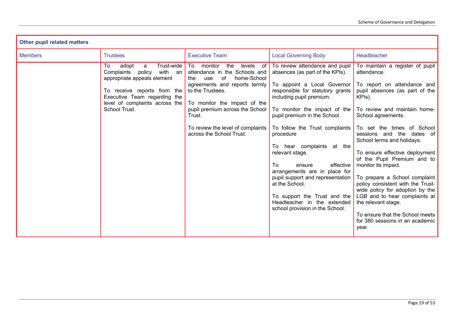| <b>Other pupil related matters</b> |                                                                                                                                                                                                                    |                                                                                                                                                                                                                                                                                                          |                                                                                                                                                                                                                                                                                                                                                                                                                                                                                                                                                         |                                                                                                                                                                                                                                                                                                                                                                                                                                                                                                                                                                                                                  |
|------------------------------------|--------------------------------------------------------------------------------------------------------------------------------------------------------------------------------------------------------------------|----------------------------------------------------------------------------------------------------------------------------------------------------------------------------------------------------------------------------------------------------------------------------------------------------------|---------------------------------------------------------------------------------------------------------------------------------------------------------------------------------------------------------------------------------------------------------------------------------------------------------------------------------------------------------------------------------------------------------------------------------------------------------------------------------------------------------------------------------------------------------|------------------------------------------------------------------------------------------------------------------------------------------------------------------------------------------------------------------------------------------------------------------------------------------------------------------------------------------------------------------------------------------------------------------------------------------------------------------------------------------------------------------------------------------------------------------------------------------------------------------|
| <b>Members</b>                     | <b>Trustees</b>                                                                                                                                                                                                    | <b>Executive Team</b>                                                                                                                                                                                                                                                                                    | <b>Local Governing Body</b>                                                                                                                                                                                                                                                                                                                                                                                                                                                                                                                             | Headteacher                                                                                                                                                                                                                                                                                                                                                                                                                                                                                                                                                                                                      |
|                                    | Trust-wide<br>To<br>adopt<br>a<br>with an<br>Complaints<br>policy<br>appropriate appeals element<br>To receive reports from the<br>Executive Team regarding the<br>level of complaints across the<br>School Trust. | To monitor<br>the<br>levels<br>of<br>attendance in the Schools and<br>home-School<br>of<br>the<br>use<br>agreements and reports termly<br>to the Trustees.<br>To monitor the impact of the<br>pupil premium across the School<br>Trust.<br>To review the level of complaints<br>across the School Trust. | To review attendance and pupil<br>absences (as part of the KPIs).<br>To appoint a Local Governor<br>responsible for statutory grants<br>including pupil premium.<br>To monitor the impact of the<br>pupil premium in the School.<br>To follow the Trust complaints<br>procedure<br>To hear complaints at the<br>relevant stage.<br>To I<br>effective<br>ensure<br>arrangements are in place for<br>pupil support and representation<br>at the School.<br>To support the Trust and the<br>Headteacher in the extended<br>school provision in the School. | To maintain a register of pupil<br>attendance.<br>To report on attendance and<br>pupil absences (as part of the<br>KPIs).<br>To review and maintain home-<br>School agreements.<br>To set the times of School<br>sessions and the dates of<br>School terms and holidays.<br>To ensure effective deployment<br>of the Pupil Premium and to<br>monitor its impact.<br>To prepare a School complaint<br>policy consistent with the Trust-<br>wide policy for adoption by the<br>LGB and to hear complaints at<br>the relevant stage.<br>To ensure that the School meets<br>for 380 sessions in an academic<br>year. |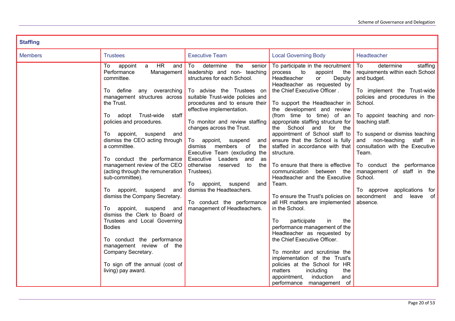| <b>Staffing</b> |                                                                                                                                                                                                                                                                                                                                                                                                                                                                                                                                                                                                                                                                                                                                                          |                                                                                                                                                                                                                                                                                                                                                                                                                                                                                                                                                                                                                           |                                                                                                                                                                                                                                                                                                                                                                                                                                                                                                                                                                                                                                                                                                                                                                                                                                                                                                                                                                                                                    |                                                                                                                                                                                                                                                                                                                                                                                                                                                                                          |
|-----------------|----------------------------------------------------------------------------------------------------------------------------------------------------------------------------------------------------------------------------------------------------------------------------------------------------------------------------------------------------------------------------------------------------------------------------------------------------------------------------------------------------------------------------------------------------------------------------------------------------------------------------------------------------------------------------------------------------------------------------------------------------------|---------------------------------------------------------------------------------------------------------------------------------------------------------------------------------------------------------------------------------------------------------------------------------------------------------------------------------------------------------------------------------------------------------------------------------------------------------------------------------------------------------------------------------------------------------------------------------------------------------------------------|--------------------------------------------------------------------------------------------------------------------------------------------------------------------------------------------------------------------------------------------------------------------------------------------------------------------------------------------------------------------------------------------------------------------------------------------------------------------------------------------------------------------------------------------------------------------------------------------------------------------------------------------------------------------------------------------------------------------------------------------------------------------------------------------------------------------------------------------------------------------------------------------------------------------------------------------------------------------------------------------------------------------|------------------------------------------------------------------------------------------------------------------------------------------------------------------------------------------------------------------------------------------------------------------------------------------------------------------------------------------------------------------------------------------------------------------------------------------------------------------------------------------|
| <b>Members</b>  | <b>Trustees</b>                                                                                                                                                                                                                                                                                                                                                                                                                                                                                                                                                                                                                                                                                                                                          | <b>Executive Team</b>                                                                                                                                                                                                                                                                                                                                                                                                                                                                                                                                                                                                     | <b>Local Governing Body</b>                                                                                                                                                                                                                                                                                                                                                                                                                                                                                                                                                                                                                                                                                                                                                                                                                                                                                                                                                                                        | Headteacher                                                                                                                                                                                                                                                                                                                                                                                                                                                                              |
|                 | <b>HR</b><br>appoint<br>To<br>a a<br>and<br>Performance<br>Management<br>committee.<br>To define<br>any overarching<br>management structures across<br>the Trust.<br>To adopt Trust-wide<br>staff<br>policies and procedures.<br>To appoint, suspend<br>and<br>dismiss the CEO acting through<br>a committee.<br>To conduct the performance<br>management review of the CEO<br>(acting through the remuneration<br>sub-committee).<br>To appoint, suspend and<br>dismiss the Company Secretary.<br>To appoint, suspend<br>and<br>dismiss the Clerk to Board of<br>Trustees and Local Governing<br><b>Bodies</b><br>To conduct the performance<br>management review of the<br>Company Secretary.<br>To sign off the annual (cost of<br>living) pay award. | To<br>determine<br>the<br>senior<br>leadership and non- teaching<br>structures for each School.<br>To advise the Trustees on<br>suitable Trust-wide policies and<br>procedures and to ensure their<br>effective implementation.<br>To monitor and review staffing<br>changes across the Trust.<br>To appoint,<br>suspend<br>and<br>members<br>the<br>dismiss<br>of<br>Executive Team (excluding the<br>$\vert$ Executive<br>Leaders and<br>as<br>otherwise<br>reserved<br>to<br>the<br>Trustees).<br>To appoint, suspend<br>and<br>dismiss the Headteachers.<br>To conduct the performance<br>management of Headteachers. | To participate in the recruitment<br>process<br>$\mathsf{to}$<br>appoint<br>the<br>Headteacher<br>or<br>Deputy<br>Headteacher as requested by<br>the Chief Executive Officer.<br>To support the Headteacher in<br>the development and review<br>(from time to time) of an<br>appropriate staffing structure for<br>the School<br>and for<br>the<br>appointment of School staff to<br>ensure that the School is fully<br>staffed in accordance with that<br>structure.<br>To ensure that there is effective<br>communication<br>between the<br>Headteacher and the Executive<br>Team.<br>To ensure the Trust's policies on<br>all HR matters are implemented<br>in the School.<br>To<br>participate<br>in<br>the<br>performance management of the<br>Headteacher as requested by<br>the Chief Executive Officer.<br>To monitor and scrutinise the<br>implementation of the Trust's<br>policies at the School for HR<br>including<br>matters<br>the<br>induction<br>appointment,<br>and<br>performance management of | staffing<br>  To<br>determine<br>requirements within each School<br>and budget.<br>To implement the Trust-wide<br>policies and procedures in the<br>School.<br>To appoint teaching and non-<br>teaching staff.<br>To suspend or dismiss teaching<br>and non-teaching<br>staff in<br>consultation with the Executive<br>Team.<br>To conduct the performance<br>management of staff in the<br>School.<br>applications<br>To approve<br>for<br>leave<br>secondment<br>and<br>of<br>absence. |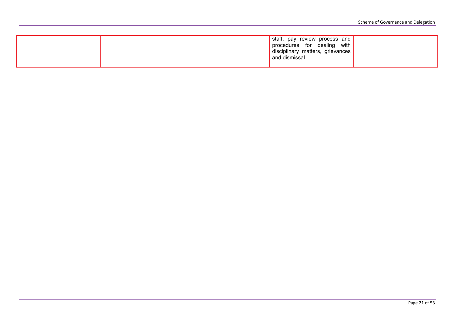|  | staff, pay review process and<br>procedures for dealing with<br>disciplinary matters, grievances<br>and dismissal |  |
|--|-------------------------------------------------------------------------------------------------------------------|--|
|  |                                                                                                                   |  |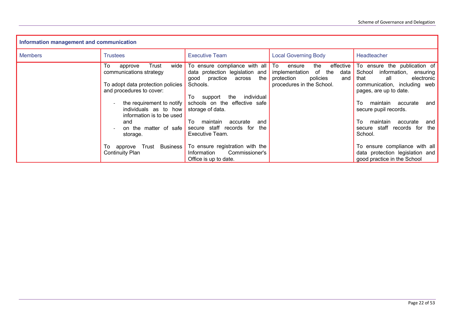| Information management and communication |                                                                                 |                                                                                                          |                                                                                 |                                                                                                           |
|------------------------------------------|---------------------------------------------------------------------------------|----------------------------------------------------------------------------------------------------------|---------------------------------------------------------------------------------|-----------------------------------------------------------------------------------------------------------|
| <b>Members</b>                           | <b>Trustees</b>                                                                 | <b>Executive Team</b>                                                                                    | <b>Local Governing Body</b>                                                     | Headteacher                                                                                               |
|                                          | To<br>Trust<br>wide<br>approve<br>communications strategy                       | To ensure compliance with all To<br>data protection legislation and<br>the<br>practice<br>qood<br>across | the<br>ensure<br>implementation of the<br>data<br>policies<br>protection<br>and | effective To ensure the publication of<br>School<br>information,<br>ensuring<br>electronic<br>that<br>all |
|                                          | To adopt data protection policies<br>and procedures to cover:                   | Schools.<br>individual<br>To<br>the<br>support                                                           | procedures in the School.                                                       | communication, including web<br>pages, are up to date.                                                    |
|                                          | the requirement to notify<br>individuals as to how<br>information is to be used | schools on the effective safe<br>storage of data.                                                        |                                                                                 | Т٥<br>maintain<br>accurate<br>and<br>secure pupil records.                                                |
|                                          | and<br>on the matter of safe<br>storage.                                        | To<br>maintain<br>accurate<br>and<br>secure staff records for<br>the<br>Executive Team.                  |                                                                                 | To<br>maintain<br>accurate<br>and<br>secure staff records for<br>the<br>School.                           |
|                                          | Trust<br>approve<br>10 I<br>Continuity Plan                                     | Business   To ensure registration with the<br>Commissioner's<br>Information<br>Office is up to date.     |                                                                                 | To ensure compliance with all<br>data protection legislation and<br>good practice in the School           |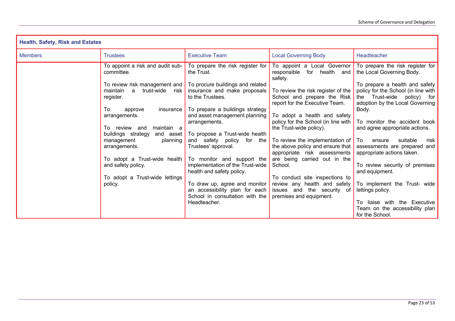| <b>Health, Safety, Risk and Estates</b> |                                                                                                                                                                                                                                                                                                                                                                                                           |                                                                                                                                                                                                                                                                                                                                                 |                                                                                                                                                                                                                                                                                                                                                                                                                                               |                                                                                                                                                                                                                                                                                                                                                                                                                     |  |
|-----------------------------------------|-----------------------------------------------------------------------------------------------------------------------------------------------------------------------------------------------------------------------------------------------------------------------------------------------------------------------------------------------------------------------------------------------------------|-------------------------------------------------------------------------------------------------------------------------------------------------------------------------------------------------------------------------------------------------------------------------------------------------------------------------------------------------|-----------------------------------------------------------------------------------------------------------------------------------------------------------------------------------------------------------------------------------------------------------------------------------------------------------------------------------------------------------------------------------------------------------------------------------------------|---------------------------------------------------------------------------------------------------------------------------------------------------------------------------------------------------------------------------------------------------------------------------------------------------------------------------------------------------------------------------------------------------------------------|--|
| <b>Members</b>                          | <b>Executive Team</b><br><b>Local Governing Body</b>                                                                                                                                                                                                                                                                                                                                                      |                                                                                                                                                                                                                                                                                                                                                 |                                                                                                                                                                                                                                                                                                                                                                                                                                               | Headteacher                                                                                                                                                                                                                                                                                                                                                                                                         |  |
|                                         | <b>Trustees</b><br>To appoint a risk and audit sub-<br>committee.<br>To review risk management and To procure buildings and related<br>trust-wide<br>maintain<br>a<br>risk<br>register.<br>To<br>insurance<br>approve<br>arrangements.<br>To review and<br>maintain a<br>buildings strategy<br>and asset<br>management<br>planning<br>arrangements.<br>To adopt a Trust-wide health<br>and safety policy. | To prepare the risk register for<br>the Trust.<br>insurance and make proposals<br>to the Trustees.<br>To prepare a buildings strategy<br>and asset management planning<br>arrangements.<br>To propose a Trust-wide health<br>and safety policy for the<br>Trustees' approval.<br>To monitor and support the<br>implementation of the Trust-wide | To appoint a Local Governor<br>responsible<br>for health and<br>safety.<br>To review the risk register of the<br>School and prepare the Risk<br>report for the Executive Team.<br>To adopt a health and safety<br>policy for the School (in line with<br>the Trust-wide policy).<br>To review the implementation of $\vert$ To<br>the above policy and ensure that<br>appropriate risk assessments<br>are being carried out in the<br>School. | To prepare the risk register for<br>the Local Governing Body.<br>To prepare a health and safety<br>policy for the School (in line with<br>the Trust-wide policy)<br>for<br>adoption by the Local Governing<br>Body.<br>To monitor the accident book<br>and agree appropriate actions.<br>suitable<br>ensure<br>risk<br>assessments are prepared and<br>appropriate actions taken.<br>To review security of premises |  |
|                                         | To adopt a Trust-wide lettings<br>policy.                                                                                                                                                                                                                                                                                                                                                                 | health and safety policy.<br>To draw up, agree and monitor<br>an accessibility plan for each<br>School in consultation with the<br>Headteacher.                                                                                                                                                                                                 | To conduct site inspections to<br>review any health and safety<br>issues and the security of<br>premises and equipment.                                                                                                                                                                                                                                                                                                                       | and equipment.<br>To implement the Trust- wide<br>lettings policy.<br>To liaise with the Executive<br>Team on the accessibility plan<br>for the School.                                                                                                                                                                                                                                                             |  |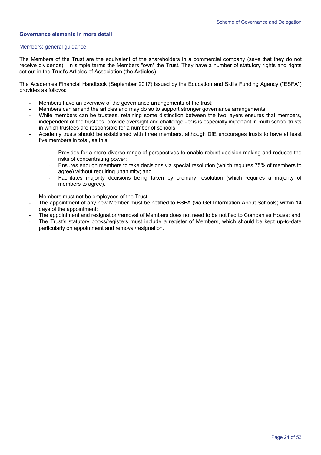# **Governance elements in more detail**

#### Members: general guidance

The Members of the Trust are the equivalent of the shareholders in a commercial company (save that they do not receive dividends). In simple terms the Members "own" the Trust. They have a number of statutory rights and rights set out in the Trust's Articles of Association (the **Articles**).

The Academies Financial Handbook (September 2017) issued by the Education and Skills Funding Agency ("ESFA") provides as follows:

- **-** Members have an overview of the governance arrangements of the trust;
- **-** Members can amend the articles and may do so to support stronger governance arrangements;
- **-** While members can be trustees, retaining some distinction between the two layers ensures that members, independent of the trustees, provide oversight and challenge - this is especially important in multi school trusts in which trustees are responsible for a number of schools;
- **-** Academy trusts should be established with three members, although DfE encourages trusts to have at least five members in total, as this:
	- Provides for a more diverse range of perspectives to enable robust decision making and reduces the risks of concentrating power;
	- Ensures enough members to take decisions via special resolution (which requires 75% of members to agree) without requiring unanimity; and
	- Facilitates majority decisions being taken by ordinary resolution (which requires a majority of members to agree).
- **-** Members must not be employees of the Trust;
- The appointment of any new Member must be notified to ESFA (via Get Information About Schools) within 14 days of the appointment;
- The appointment and resignation/removal of Members does not need to be notified to Companies House; and
- The Trust's statutory books/registers must include a register of Members, which should be kept up-to-date particularly on appointment and removal/resignation.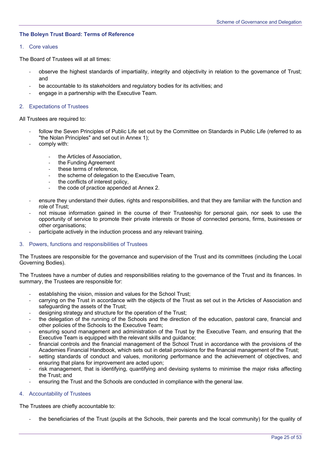# **The Boleyn Trust Board: Terms of Reference**

## 1. Core values

The Board of Trustees will at all times:

- observe the highest standards of impartiality, integrity and objectivity in relation to the governance of Trust; and
- be accountable to its stakeholders and regulatory bodies for its activities; and
- engage in a partnership with the Executive Team.

## 2. Expectations of Trustees

All Trustees are required to:

- follow the Seven Principles of Public Life set out by the Committee on Standards in Public Life (referred to as "the Nolan Principles" and set out in Annex 1);
- comply with:
	- the Articles of Association,
	- the Funding Agreement
	- these terms of reference,
	- the scheme of delegation to the Executive Team,
	- the conflicts of interest policy,
	- the code of practice appended at Annex 2.
- ensure they understand their duties, rights and responsibilities, and that they are familiar with the function and role of Trust;
- not misuse information gained in the course of their Trusteeship for personal gain, nor seek to use the opportunity of service to promote their private interests or those of connected persons, firms, businesses or other organisations;
- participate actively in the induction process and any relevant training.

#### 3. Powers, functions and responsibilities of Trustees

The Trustees are responsible for the governance and supervision of the Trust and its committees (including the Local Governing Bodies).

The Trustees have a number of duties and responsibilities relating to the governance of the Trust and its finances. In summary, the Trustees are responsible for:

- establishing the vision, mission and values for the School Trust;
- carrying on the Trust in accordance with the objects of the Trust as set out in the Articles of Association and safeguarding the assets of the Trust;
- designing strategy and structure for the operation of the Trust;
- the delegation of the running of the Schools and the direction of the education, pastoral care, financial and other policies of the Schools to the Executive Team;
- ensuring sound management and administration of the Trust by the Executive Team, and ensuring that the Executive Team is equipped with the relevant skills and guidance;
- financial controls and the financial management of the School Trust in accordance with the provisions of the Academies Financial Handbook, which sets out in detail provisions for the financial management of the Trust;
- setting standards of conduct and values, monitoring performance and the achievement of objectives, and ensuring that plans for improvement are acted upon;
- risk management, that is identifying, quantifying and devising systems to minimise the major risks affecting the Trust; and
- ensuring the Trust and the Schools are conducted in compliance with the general law.

# 4. Accountability of Trustees

The Trustees are chiefly accountable to:

- the beneficiaries of the Trust (pupils at the Schools, their parents and the local community) for the quality of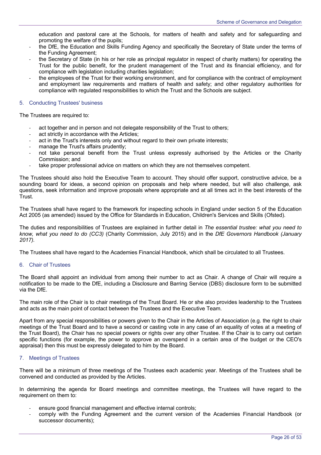education and pastoral care at the Schools, for matters of health and safety and for safeguarding and promoting the welfare of the pupils;

- the DfE, the Education and Skills Funding Agency and specifically the Secretary of State under the terms of the Funding Agreement;
- the Secretary of State (in his or her role as principal regulator in respect of charity matters) for operating the Trust for the public benefit, for the prudent management of the Trust and its financial efficiency, and for compliance with legislation including charities legislation;
- the employees of the Trust for their working environment, and for compliance with the contract of employment and employment law requirements and matters of health and safety; and other regulatory authorities for compliance with regulated responsibilities to which the Trust and the Schools are subject.

# 5. Conducting Trustees' business

The Trustees are required to:

- act together and in person and not delegate responsibility of the Trust to others;
- act strictly in accordance with the Articles;
- act in the Trust's interests only and without regard to their own private interests;
- manage the Trust's affairs prudently;
- not take personal benefit from the Trust unless expressly authorised by the Articles or the Charity Commission; and
- take proper professional advice on matters on which they are not themselves competent.

The Trustees should also hold the Executive Team to account. They should offer support, constructive advice, be a sounding board for ideas, a second opinion on proposals and help where needed, but will also challenge, ask questions, seek information and improve proposals where appropriate and at all times act in the best interests of the Trust.

The Trustees shall have regard to the framework for inspecting schools in England under section 5 of the Education Act 2005 (as amended) issued by the Office for Standards in Education, Children's Services and Skills (Ofsted).

The duties and responsibilities of Trustees are explained in further detail in *The essential trustee: what you need to know, what you need to do (CC3)* (Charity Commission, July 2015) and in the *DfE Governors Handbook (January 2017).* 

The Trustees shall have regard to the Academies Financial Handbook, which shall be circulated to all Trustees.

#### 6. Chair of Trustees

The Board shall appoint an individual from among their number to act as Chair. A change of Chair will require a notification to be made to the DfE, including a Disclosure and Barring Service (DBS) disclosure form to be submitted via the DfE.

The main role of the Chair is to chair meetings of the Trust Board. He or she also provides leadership to the Trustees and acts as the main point of contact between the Trustees and the Executive Team.

Apart from any special responsibilities or powers given to the Chair in the Articles of Association (e.g. the right to chair meetings of the Trust Board and to have a second or casting vote in any case of an equality of votes at a meeting of the Trust Board), the Chair has no special powers or rights over any other Trustee. If the Chair is to carry out certain specific functions (for example, the power to approve an overspend in a certain area of the budget or the CEO's appraisal) then this must be expressly delegated to him by the Board.

# 7. Meetings of Trustees

There will be a minimum of three meetings of the Trustees each academic year. Meetings of the Trustees shall be convened and conducted as provided by the Articles.

In determining the agenda for Board meetings and committee meetings, the Trustees will have regard to the requirement on them to:

- ensure good financial management and effective internal controls;
- comply with the Funding Agreement and the current version of the Academies Financial Handbook (or successor documents);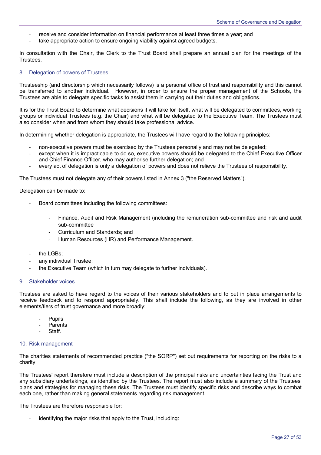- receive and consider information on financial performance at least three times a year; and
- take appropriate action to ensure ongoing viability against agreed budgets.

In consultation with the Chair, the Clerk to the Trust Board shall prepare an annual plan for the meetings of the Trustees.

## 8. Delegation of powers of Trustees

Trusteeship (and directorship which necessarily follows) is a personal office of trust and responsibility and this cannot be transferred to another individual. However, in order to ensure the proper management of the Schools, the Trustees are able to delegate specific tasks to assist them in carrying out their duties and obligations.

It is for the Trust Board to determine what decisions it will take for itself, what will be delegated to committees, working groups or individual Trustees (e.g. the Chair) and what will be delegated to the Executive Team. The Trustees must also consider when and from whom they should take professional advice.

In determining whether delegation is appropriate, the Trustees will have regard to the following principles:

- non-executive powers must be exercised by the Trustees personally and may not be delegated;
- except when it is impracticable to do so, executive powers should be delegated to the Chief Executive Officer and Chief Finance Officer, who may authorise further delegation; and
- every act of delegation is only a delegation of powers and does not relieve the Trustees of responsibility.

The Trustees must not delegate any of their powers listed in Annex 3 ("the Reserved Matters").

Delegation can be made to:

- Board committees including the following committees:
	- Finance, Audit and Risk Management (including the remuneration sub-committee and risk and audit sub-committee
	- Curriculum and Standards; and
	- Human Resources (HR) and Performance Management.
- the LGBs:
- any individual Trustee:
- the Executive Team (which in turn may delegate to further individuals).

#### 9. Stakeholder voices

Trustees are asked to have regard to the voices of their various stakeholders and to put in place arrangements to receive feedback and to respond appropriately. This shall include the following, as they are involved in other elements/tiers of trust governance and more broadly:

- **Pupils**
- **Parents**
- Staff.

#### 10. Risk management

The charities statements of recommended practice ("the SORP") set out requirements for reporting on the risks to a charity.

The Trustees' report therefore must include a description of the principal risks and uncertainties facing the Trust and any subsidiary undertakings, as identified by the Trustees. The report must also include a summary of the Trustees' plans and strategies for managing these risks. The Trustees must identify specific risks and describe ways to combat each one, rather than making general statements regarding risk management.

The Trustees are therefore responsible for:

identifying the major risks that apply to the Trust, including: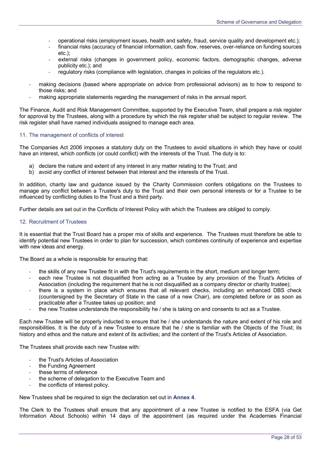- operational risks (employment issues, health and safety, fraud, service quality and development etc.);
- financial risks (accuracy of financial information, cash flow, reserves, over-reliance on funding sources etc.);
- external risks (changes in government policy, economic factors, demographic changes, adverse publicity etc.); and
- regulatory risks (compliance with legislation, changes in policies of the regulators etc.).
- making decisions (based where appropriate on advice from professional advisors) as to how to respond to those risks; and
- making appropriate statements regarding the management of risks in the annual report.

The Finance, Audit and Risk Management Committee, supported by the Executive Team, shall prepare a risk register for approval by the Trustees, along with a procedure by which the risk register shall be subject to regular review. The risk register shall have named individuals assigned to manage each area.

#### 11. The management of conflicts of interest

The Companies Act 2006 imposes a statutory duty on the Trustees to avoid situations in which they have or could have an interest, which conflicts (or could conflict) with the interests of the Trust. The duty is to:

- a) declare the nature and extent of any interest in any matter relating to the Trust; and
- b) avoid any conflict of interest between that interest and the interests of the Trust.

In addition, charity law and guidance issued by the Charity Commission confers obligations on the Trustees to manage any conflict between a Trustee's duty to the Trust and their own personal interests or for a Trustee to be influenced by conflicting duties to the Trust and a third party.

Further details are set out in the Conflicts of Interest Policy with which the Trustees are obliged to comply.

# 12. Recruitment of Trustees

It is essential that the Trust Board has a proper mix of skills and experience. The Trustees must therefore be able to identify potential new Trustees in order to plan for succession, which combines continuity of experience and expertise with new ideas and energy.

The Board as a whole is responsible for ensuring that:

- the skills of any new Trustee fit in with the Trust's requirements in the short, medium and longer term;
- each new Trustee is not disqualified from acting as a Trustee by any provision of the Trust's Articles of Association (including the requirement that he is not disqualified as a company director or charity trustee);
- there is a system in place which ensures that all relevant checks, including an enhanced DBS check (countersigned by the Secretary of State in the case of a new Chair), are completed before or as soon as practicable after a Trustee takes up position; and
- the new Trustee understands the responsibility he / she is taking on and consents to act as a Trustee.

Each new Trustee will be properly inducted to ensure that he / she understands the nature and extent of his role and responsibilities. It is the duty of a new Trustee to ensure that he / she is familiar with the Objects of the Trust; its history and ethos and the nature and extent of its activities; and the content of the Trust's Articles of Association.

The Trustees shall provide each new Trustee with:

- the Trust's Articles of Association
- the Funding Agreement
- these terms of reference
- the scheme of delegation to the Executive Team and
- the conflicts of interest policy.

New Trustees shall be required to sign the declaration set out in **Annex 4**.

The Clerk to the Trustees shall ensure that any appointment of a new Trustee is notified to the ESFA (via Get Information About Schools) within 14 days of the appointment (as required under the Academies Financial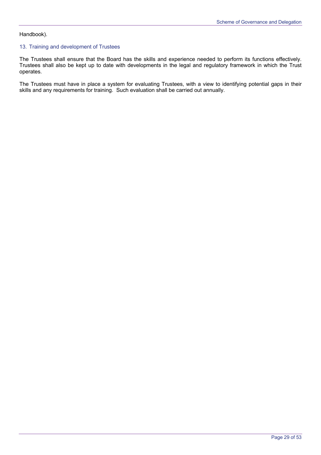# Handbook).

# 13. Training and development of Trustees

The Trustees shall ensure that the Board has the skills and experience needed to perform its functions effectively. Trustees shall also be kept up to date with developments in the legal and regulatory framework in which the Trust operates.

The Trustees must have in place a system for evaluating Trustees, with a view to identifying potential gaps in their skills and any requirements for training. Such evaluation shall be carried out annually.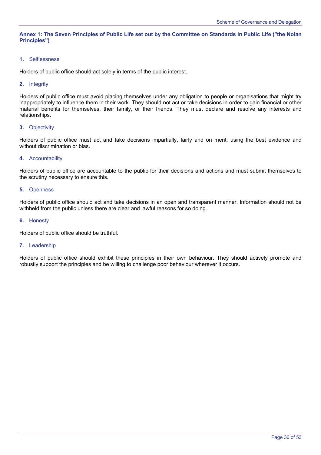**Annex 1: The Seven Principles of Public Life set out by the Committee on Standards in Public Life ("the Nolan Principles")** 

# **1.** Selflessness

Holders of public office should act solely in terms of the public interest.

# **2.** Integrity

Holders of public office must avoid placing themselves under any obligation to people or organisations that might try inappropriately to influence them in their work. They should not act or take decisions in order to gain financial or other material benefits for themselves, their family, or their friends. They must declare and resolve any interests and relationships.

# **3.** Objectivity

Holders of public office must act and take decisions impartially, fairly and on merit, using the best evidence and without discrimination or bias.

#### **4.** Accountability

Holders of public office are accountable to the public for their decisions and actions and must submit themselves to the scrutiny necessary to ensure this.

#### **5.** Openness

Holders of public office should act and take decisions in an open and transparent manner. Information should not be withheld from the public unless there are clear and lawful reasons for so doing.

# **6.** Honesty

Holders of public office should be truthful.

#### **7.** Leadership

Holders of public office should exhibit these principles in their own behaviour. They should actively promote and robustly support the principles and be willing to challenge poor behaviour wherever it occurs.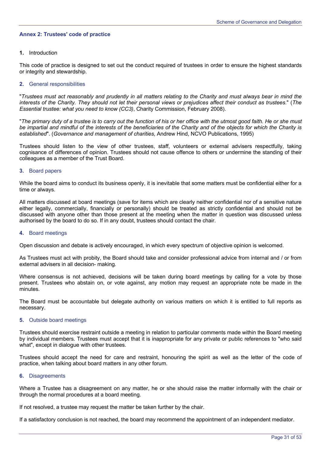# **Annex 2: Trustees' code of practice**

# **1.** Introduction

This code of practice is designed to set out the conduct required of trustees in order to ensure the highest standards or integrity and stewardship.

# **2.** General responsibilities

"*Trustees must act reasonably and prudently in all matters relating to the Charity and must always bear in mind the interests of the Charity. They should not let their personal views or prejudices affect their conduct as trustees.*" (*The Essential trustee: what you need to know (CC3)*, Charity Commission, February 2008).

"*The primary duty of a trustee is to carry out the function of his or her office with the utmost good faith. He or she must be impartial and mindful of the interests of the beneficiaries of the Charity and of the objects for which the Charity is established*". (*Governance and management of charities*, Andrew Hind, NCVO Publications, 1995)

Trustees should listen to the view of other trustees, staff, volunteers or external advisers respectfully, taking cognisance of differences of opinion. Trustees should not cause offence to others or undermine the standing of their colleagues as a member of the Trust Board.

# **3.** Board papers

While the board aims to conduct its business openly, it is inevitable that some matters must be confidential either for a time or always.

All matters discussed at board meetings (save for items which are clearly neither confidential nor of a sensitive nature either legally, commercially, financially or personally) should be treated as strictly confidential and should not be discussed with anyone other than those present at the meeting when the matter in question was discussed unless authorised by the board to do so. If in any doubt, trustees should contact the chair.

#### **4.** Board meetings

Open discussion and debate is actively encouraged, in which every spectrum of objective opinion is welcomed.

As Trustees must act with probity, the Board should take and consider professional advice from internal and / or from external advisers in all decision- making.

Where consensus is not achieved, decisions will be taken during board meetings by calling for a vote by those present. Trustees who abstain on, or vote against, any motion may request an appropriate note be made in the minutes.

The Board must be accountable but delegate authority on various matters on which it is entitled to full reports as necessary.

#### **5.** Outside board meetings

Trustees should exercise restraint outside a meeting in relation to particular comments made within the Board meeting by individual members. Trustees must accept that it is inappropriate for any private or public references to "who said what", except in dialogue with other trustees.

Trustees should accept the need for care and restraint, honouring the spirit as well as the letter of the code of practice, when talking about board matters in any other forum.

#### **6.** Disagreements

Where a Trustee has a disagreement on any matter, he or she should raise the matter informally with the chair or through the normal procedures at a board meeting.

If not resolved, a trustee may request the matter be taken further by the chair.

If a satisfactory conclusion is not reached, the board may recommend the appointment of an independent mediator.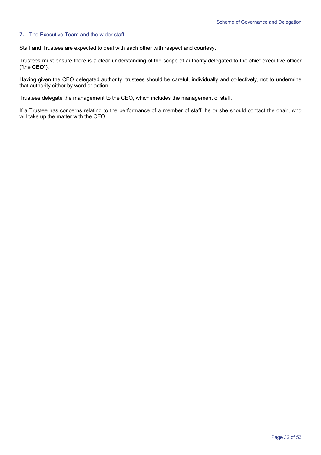## **7.** The Executive Team and the wider staff

Staff and Trustees are expected to deal with each other with respect and courtesy.

Trustees must ensure there is a clear understanding of the scope of authority delegated to the chief executive officer ("the **CEO**").

Having given the CEO delegated authority, trustees should be careful, individually and collectively, not to undermine that authority either by word or action.

Trustees delegate the management to the CEO, which includes the management of staff.

If a Trustee has concerns relating to the performance of a member of staff, he or she should contact the chair, who will take up the matter with the CEO.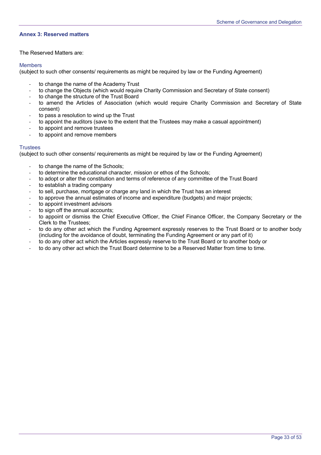## **Annex 3: Reserved matters**

The Reserved Matters are:

#### Members

(subject to such other consents/ requirements as might be required by law or the Funding Agreement)

- to change the name of the Academy Trust
- to change the Objects (which would require Charity Commission and Secretary of State consent)
- to change the structure of the Trust Board
- to amend the Articles of Association (which would require Charity Commission and Secretary of State consent)
- to pass a resolution to wind up the Trust
- to appoint the auditors (save to the extent that the Trustees may make a casual appointment)
- to appoint and remove trustees
- to appoint and remove members

# **Trustees**

(subject to such other consents/ requirements as might be required by law or the Funding Agreement)

- to change the name of the Schools;
- to determine the educational character, mission or ethos of the Schools;
- to adopt or alter the constitution and terms of reference of any committee of the Trust Board
- to establish a trading company
- to sell, purchase, mortgage or charge any land in which the Trust has an interest
- to approve the annual estimates of income and expenditure (budgets) and major projects;
- to appoint investment advisors
- to sign off the annual accounts;
- to appoint or dismiss the Chief Executive Officer, the Chief Finance Officer, the Company Secretary or the Clerk to the Trustees;
- to do any other act which the Funding Agreement expressly reserves to the Trust Board or to another body (including for the avoidance of doubt, terminating the Funding Agreement or any part of it)
- to do any other act which the Articles expressly reserve to the Trust Board or to another body or
- to do any other act which the Trust Board determine to be a Reserved Matter from time to time.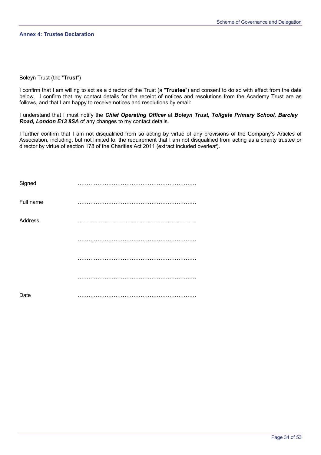## **Annex 4: Trustee Declaration**

# Boleyn Trust (the "**Trust**")

I confirm that I am willing to act as a director of the Trust (a "**Trustee**") and consent to do so with effect from the date below. I confirm that my contact details for the receipt of notices and resolutions from the Academy Trust are as follows, and that I am happy to receive notices and resolutions by email:

I understand that I must notify the *Chief Operating Officer* at *Boleyn Trust, Tollgate Primary School, Barclay Road, London E13 8SA* of any changes to my contact details.

I further confirm that I am not disqualified from so acting by virtue of any provisions of the Company's Articles of Association, including, but not limited to, the requirement that I am not disqualified from acting as a charity trustee or director by virtue of section 178 of the Charities Act 2011 (extract included overleaf).

| Signed    | . |
|-----------|---|
| Full name |   |
| Address   |   |
|           |   |
|           |   |
|           |   |
| Date      |   |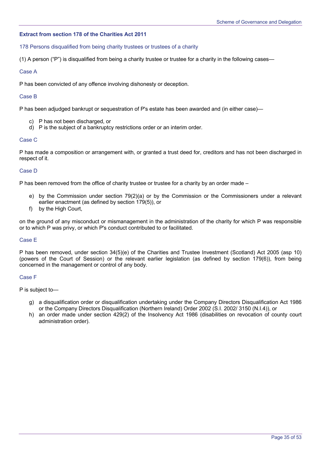# **Extract from section 178 of the Charities Act 2011**

## 178 Persons disqualified from being charity trustees or trustees of a charity

(1) A person ("P") is disqualified from being a charity trustee or trustee for a charity in the following cases—

# Case A

P has been convicted of any offence involving dishonesty or deception.

# Case B

P has been adjudged bankrupt or sequestration of P's estate has been awarded and (in either case)—

- c) P has not been discharged, or
- d) P is the subject of a bankruptcy restrictions order or an interim order.

# Case C

P has made a composition or arrangement with, or granted a trust deed for, creditors and has not been discharged in respect of it.

# Case D

P has been removed from the office of charity trustee or trustee for a charity by an order made –

- e) by the Commission under section 79(2)(a) or by the Commission or the Commissioners under a relevant earlier enactment (as defined by section 179(5)), or
- f) by the High Court,

on the ground of any misconduct or mismanagement in the administration of the charity for which P was responsible or to which P was privy, or which P's conduct contributed to or facilitated.

# Case E

P has been removed, under section 34(5)(e) of the Charities and Trustee Investment (Scotland) Act 2005 (asp 10) (powers of the Court of Session) or the relevant earlier legislation (as defined by section 179(6)), from being concerned in the management or control of any body.

#### Case F

P is subject to—

- g) a disqualification order or disqualification undertaking under the Company Directors Disqualification Act 1986 or the Company Directors Disqualification (Northern Ireland) Order 2002 (S.I. 2002/ 3150 (N.I.4)), or
- h) an order made under section 429(2) of the Insolvency Act 1986 (disabilities on revocation of county court administration order).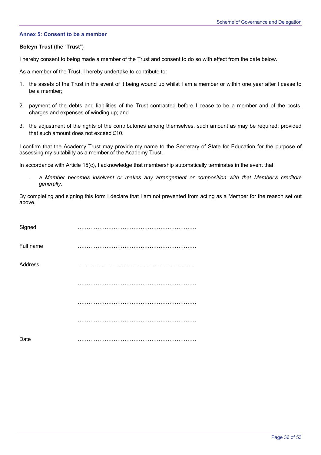# **Annex 5: Consent to be a member**

## **Boleyn Trust** (the "**Trust**")

I hereby consent to being made a member of the Trust and consent to do so with effect from the date below.

As a member of the Trust, I hereby undertake to contribute to:

- 1. the assets of the Trust in the event of it being wound up whilst I am a member or within one year after I cease to be a member;
- 2. payment of the debts and liabilities of the Trust contracted before I cease to be a member and of the costs, charges and expenses of winding up; and
- 3. the adjustment of the rights of the contributories among themselves, such amount as may be required; provided that such amount does not exceed £10.

I confirm that the Academy Trust may provide my name to the Secretary of State for Education for the purpose of assessing my suitability as a member of the Academy Trust.

In accordance with Article 15(c), I acknowledge that membership automatically terminates in the event that:

a Member becomes insolvent or makes any arrangement or composition with that Member's creditors *generally.*

By completing and signing this form I declare that I am not prevented from acting as a Member for the reason set out above.

| Signed    |          |
|-----------|----------|
| Full name | $\cdots$ |
| Address   |          |
|           |          |
|           |          |
|           | .        |
| Date      |          |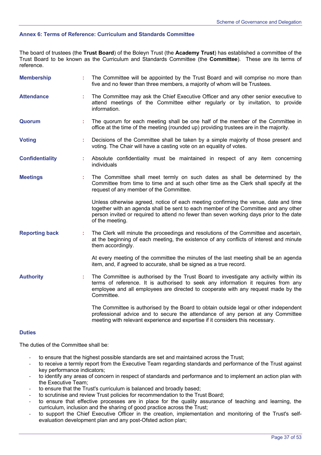# **Annex 6: Terms of Reference: Curriculum and Standards Committee**

The board of trustees (the **Trust Board**) of the Boleyn Trust (the **Academy Trust**) has established a committee of the Trust Board to be known as the Curriculum and Standards Committee (the **Committee**). These are its terms of reference.

| <b>Membership</b>      |    | The Committee will be appointed by the Trust Board and will comprise no more than<br>five and no fewer than three members, a majority of whom will be Trustees.                                                                                                                          |
|------------------------|----|------------------------------------------------------------------------------------------------------------------------------------------------------------------------------------------------------------------------------------------------------------------------------------------|
| <b>Attendance</b>      | ÷  | The Committee may ask the Chief Executive Officer and any other senior executive to<br>attend meetings of the Committee either regularly or by invitation, to provide<br>information.                                                                                                    |
| Quorum                 | ÷  | The quorum for each meeting shall be one half of the member of the Committee in<br>office at the time of the meeting (rounded up) providing trustees are in the majority.                                                                                                                |
| <b>Voting</b>          | ÷  | Decisions of the Committee shall be taken by a simple majority of those present and<br>voting. The Chair will have a casting vote on an equality of votes.                                                                                                                               |
| <b>Confidentiality</b> | ÷  | Absolute confidentiality must be maintained in respect of any item concerning<br>individuals                                                                                                                                                                                             |
| <b>Meetings</b>        | ÷  | The Committee shall meet termly on such dates as shall be determined by the<br>Committee from time to time and at such other time as the Clerk shall specify at the<br>request of any member of the Committee.                                                                           |
|                        |    | Unless otherwise agreed, notice of each meeting confirming the venue, date and time<br>together with an agenda shall be sent to each member of the Committee and any other<br>person invited or required to attend no fewer than seven working days prior to the date<br>of the meeting. |
| <b>Reporting back</b>  | ÷. | The Clerk will minute the proceedings and resolutions of the Committee and ascertain,<br>at the beginning of each meeting, the existence of any conflicts of interest and minute<br>them accordingly.                                                                                    |
|                        |    | At every meeting of the committee the minutes of the last meeting shall be an agenda<br>item, and, if agreed to accurate, shall be signed as a true record.                                                                                                                              |
| <b>Authority</b>       | ÷  | The Committee is authorised by the Trust Board to investigate any activity within its<br>terms of reference. It is authorised to seek any information it requires from any<br>employee and all employees are directed to cooperate with any request made by the<br>Committee.            |
|                        |    | The Committee is authorised by the Board to obtain outside legal or other independent<br>professional advice and to secure the attendance of any person at any Committee<br>meeting with relevant experience and expertise if it considers this necessary.                               |
| <b>Duties</b>          |    |                                                                                                                                                                                                                                                                                          |

The duties of the Committee shall be:

- to ensure that the highest possible standards are set and maintained across the Trust;
- to receive a termly report from the Executive Team regarding standards and performance of the Trust against key performance indicators;
- to identify any areas of concern in respect of standards and performance and to implement an action plan with the Executive Team;
- to ensure that the Trust's curriculum is balanced and broadly based;
- to scrutinise and review Trust policies for recommendation to the Trust Board;
- to ensure that effective processes are in place for the quality assurance of teaching and learning, the curriculum, inclusion and the sharing of good practice across the Trust;
- to support the Chief Executive Officer in the creation, implementation and monitoring of the Trust's selfevaluation development plan and any post-Ofsted action plan;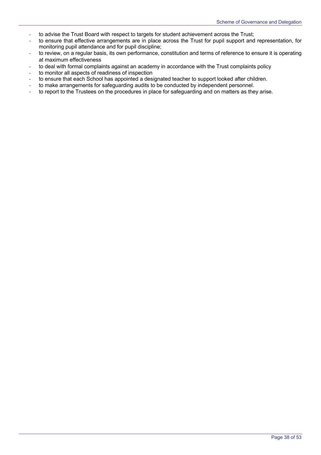- to advise the Trust Board with respect to targets for student achievement across the Trust;
- to ensure that effective arrangements are in place across the Trust for pupil support and representation, for monitoring pupil attendance and for pupil discipline;
- to review, on a regular basis, its own performance, constitution and terms of reference to ensure it is operating at maximum effectiveness
- to deal with formal complaints against an academy in accordance with the Trust complaints policy
- to monitor all aspects of readiness of inspection
- to ensure that each School has appointed a designated teacher to support looked after children.
- to make arrangements for safeguarding audits to be conducted by independent personnel.
- to report to the Trustees on the procedures in place for safeguarding and on matters as they arise.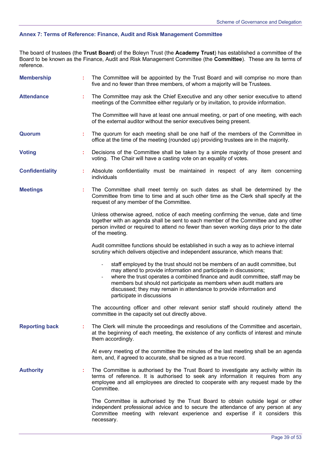# **Annex 7: Terms of Reference: Finance, Audit and Risk Management Committee**

The board of trustees (the **Trust Board**) of the Boleyn Trust (the **Academy Trust**) has established a committee of the Board to be known as the Finance, Audit and Risk Management Committee (the **Committee**). These are its terms of reference.

| <b>Membership</b>      |    | The Committee will be appointed by the Trust Board and will comprise no more than<br>five and no fewer than three members, of whom a majority will be Trustees.                                                                                                                                                                                                                                                 |
|------------------------|----|-----------------------------------------------------------------------------------------------------------------------------------------------------------------------------------------------------------------------------------------------------------------------------------------------------------------------------------------------------------------------------------------------------------------|
| <b>Attendance</b>      |    | The Committee may ask the Chief Executive and any other senior executive to attend<br>meetings of the Committee either regularly or by invitation, to provide information.                                                                                                                                                                                                                                      |
|                        |    | The Committee will have at least one annual meeting, or part of one meeting, with each<br>of the external auditor without the senior executives being present.                                                                                                                                                                                                                                                  |
| Quorum                 | ÷. | The quorum for each meeting shall be one half of the members of the Committee in<br>office at the time of the meeting (rounded up) providing trustees are in the majority.                                                                                                                                                                                                                                      |
| <b>Voting</b>          |    | Decisions of the Committee shall be taken by a simple majority of those present and<br>voting. The Chair will have a casting vote on an equality of votes.                                                                                                                                                                                                                                                      |
| <b>Confidentiality</b> |    | Absolute confidentiality must be maintained in respect of any item concerning<br>individuals                                                                                                                                                                                                                                                                                                                    |
| <b>Meetings</b>        |    | The Committee shall meet termly on such dates as shall be determined by the<br>Committee from time to time and at such other time as the Clerk shall specify at the<br>request of any member of the Committee.                                                                                                                                                                                                  |
|                        |    | Unless otherwise agreed, notice of each meeting confirming the venue, date and time<br>together with an agenda shall be sent to each member of the Committee and any other<br>person invited or required to attend no fewer than seven working days prior to the date<br>of the meeting.                                                                                                                        |
|                        |    | Audit committee functions should be established in such a way as to achieve internal<br>scrutiny which delivers objective and independent assurance, which means that:                                                                                                                                                                                                                                          |
|                        |    | staff employed by the trust should not be members of an audit committee, but<br>may attend to provide information and participate in discussions;<br>where the trust operates a combined finance and audit committee, staff may be<br>members but should not participate as members when audit matters are<br>discussed; they may remain in attendance to provide information and<br>participate in discussions |
|                        |    | The accounting officer and other relevant senior staff should routinely attend the<br>committee in the capacity set out directly above.                                                                                                                                                                                                                                                                         |
| <b>Reporting back</b>  |    | The Clerk will minute the proceedings and resolutions of the Committee and ascertain,<br>at the beginning of each meeting, the existence of any conflicts of interest and minute<br>them accordingly.                                                                                                                                                                                                           |
|                        |    | At every meeting of the committee the minutes of the last meeting shall be an agenda<br>item, and, if agreed to accurate, shall be signed as a true record.                                                                                                                                                                                                                                                     |
| <b>Authority</b>       | ÷  | The Committee is authorised by the Trust Board to investigate any activity within its<br>terms of reference. It is authorised to seek any information it requires from any<br>employee and all employees are directed to cooperate with any request made by the<br>Committee.                                                                                                                                   |
|                        |    | The Committee is authorised by the Trust Board to obtain outside legal or other<br>independent professional advice and to secure the attendance of any person at any<br>Committee meeting with relevant experience and expertise if it considers this<br>necessary.                                                                                                                                             |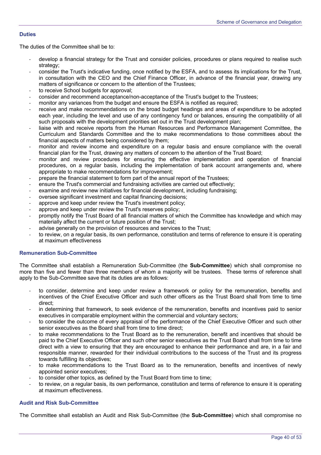# **Duties**

The duties of the Committee shall be to:

- develop a financial strategy for the Trust and consider policies, procedures or plans required to realise such strategy;
- consider the Trust's indicative funding, once notified by the ESFA, and to assess its implications for the Trust, in consultation with the CEO and the Chief Finance Officer, in advance of the financial year, drawing any matters of significance or concern to the attention of the Trustees;
- to receive School budgets for approval;
- consider and recommend acceptance/non-acceptance of the Trust's budget to the Trustees;
- monitor any variances from the budget and ensure the ESFA is notified as required;
- receive and make recommendations on the broad budget headings and areas of expenditure to be adopted each year, including the level and use of any contingency fund or balances, ensuring the compatibility of all such proposals with the development priorities set out in the Trust development plan;
- liaise with and receive reports from the Human Resources and Performance Management Committee, the Curriculum and Standards Committee and the to make recommendations to those committees about the financial aspects of matters being considered by them;
- monitor and review income and expenditure on a regular basis and ensure compliance with the overall financial plan for the Trust, drawing any matters of concern to the attention of the Trust Board;
- monitor and review procedures for ensuring the effective implementation and operation of financial procedures, on a regular basis, including the implementation of bank account arrangements and, where appropriate to make recommendations for improvement;
- prepare the financial statement to form part of the annual report of the Trustees;
- ensure the Trust's commercial and fundraising activities are carried out effectively;
- examine and review new initiatives for financial development, including fundraising;
- oversee significant investment and capital financing decisions;
- approve and keep under review the Trust's investment policy;
- approve and keep under review the Trust's reserves policy;
- promptly notify the Trust Board of all financial matters of which the Committee has knowledge and which may materially affect the current or future position of the Trust;
- advise generally on the provision of resources and services to the Trust;
- to review, on a regular basis, its own performance, constitution and terms of reference to ensure it is operating at maximum effectiveness

#### **Remuneration Sub-Committee**

The Committee shall establish a Remuneration Sub-Committee (the **Sub-Committee**) which shall compromise no more than five and fewer than three members of whom a majority will be trustees. These terms of reference shall apply to the Sub-Committee save that its duties are as follows:

- to consider, determine and keep under review a framework or policy for the remuneration, benefits and incentives of the Chief Executive Officer and such other officers as the Trust Board shall from time to time direct;
- in determining that framework, to seek evidence of the remuneration, benefits and incentives paid to senior executives in comparable employment within the commercial and voluntary sectors;
- to consider the outcome of every appraisal of the performance of the Chief Executive Officer and such other senior executives as the Board shall from time to time direct;
- to make recommendations to the Trust Board as to the remuneration, benefit and incentives that should be paid to the Chief Executive Officer and such other senior executives as the Trust Board shall from time to time direct with a view to ensuring that they are encouraged to enhance their performance and are, in a fair and responsible manner, rewarded for their individual contributions to the success of the Trust and its progress towards fulfilling its objectives;
- to make recommendations to the Trust Board as to the remuneration, benefits and incentives of newly appointed senior executives;
- to consider other topics, as defined by the Trust Board from time to time;
- to review, on a regular basis, its own performance, constitution and terms of reference to ensure it is operating at maximum effectiveness.

# **Audit and Risk Sub-Committee**

The Committee shall establish an Audit and Risk Sub-Committee (the **Sub-Committee**) which shall compromise no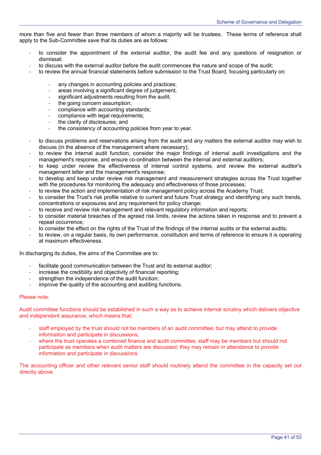more than five and fewer than three members of whom a majority will be trustees. These terms of reference shall apply to the Sub-Committee save that its duties are as follows:

- to consider the appointment of the external auditor, the audit fee and any questions of resignation or dismissal;
- to discuss with the external auditor before the audit commences the nature and scope of the audit;
- to review the annual financial statements before submission to the Trust Board, focusing particularly on:
	- any changes in accounting policies and practices;
	- areas involving a significant degree of judgement;
	- significant adjustments resulting from the audit;
	- the going concern assumption;
	- compliance with accounting standards;
	- compliance with legal requirements;
	- the clarity of disclosures; and
	- the consistency of accounting policies from year to year.
- to discuss problems and reservations arising from the audit and any matters the external auditor may wish to discuss (in the absence of the management where necessary);
- to review the internal audit function, consider the major findings of internal audit investigations and the management's response, and ensure co-ordination between the internal and external auditors;
- to keep under review the effectiveness of internal control systems, and review the external auditor's management letter and the management's response;
- to develop and keep under review risk management and measurement strategies across the Trust together with the procedures for monitoring the adequacy and effectiveness of those processes;
- to review the action and implementation of risk management policy across the Academy Trust;
- to consider the Trust's risk profile relative to current and future Trust strategy and identifying any such trends, concentrations or exposures and any requirement for policy change;
- to receive and review risk management and relevant regulatory information and reports;
- to consider material breaches of the agreed risk limits, review the actions taken in response and to prevent a repeat occurrence;
- to consider the effect on the rights of the Trust of the findings of the internal audits or the external audits;
- to review, on a regular basis, its own performance, constitution and terms of reference to ensure it is operating at maximum effectiveness.

In discharging its duties, the aims of the Committee are to:

- facilitate good communication between the Trust and its external auditor;
- increase the credibility and objectivity of financial reporting;
- strengthen the independence of the audit function;
- improve the quality of the accounting and auditing functions.

#### Please note:

Audit committee functions should be established in such a way as to achieve internal scrutiny which delivers objective and independent assurance, which means that:

- staff employed by the trust should not be members of an audit committee, but may attend to provide information and participate in discussions;
- where the trust operates a combined finance and audit committee, staff may be members but should not participate as members when audit matters are discussed; they may remain in attendance to provide information and participate in discussions

The accounting officer and other relevant senior staff should routinely attend the committee in the capacity set out directly above.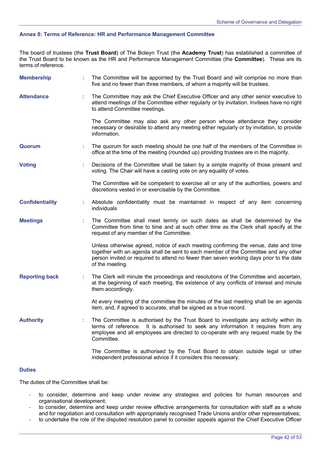# **Annex 8: Terms of Reference: HR and Performance Management Committee**

The board of trustees (the **Trust Board**) of The Boleyn Trust (the **Academy Trust**) has established a committee of the Trust Board to be known as the HR and Performance Management Committee (the **Committee**). These are its terms of reference.

| <b>Membership</b>      |    | The Committee will be appointed by the Trust Board and will comprise no more than<br>five and no fewer than three members, of whom a majority will be trustees.                                                                                                                          |
|------------------------|----|------------------------------------------------------------------------------------------------------------------------------------------------------------------------------------------------------------------------------------------------------------------------------------------|
| <b>Attendance</b>      | t. | The Committee may ask the Chief Executive Officer and any other senior executive to<br>attend meetings of the Committee either regularly or by invitation. Invitees have no right<br>to attend Committee meetings.                                                                       |
|                        |    | The Committee may also ask any other person whose attendance they consider<br>necessary or desirable to attend any meeting either regularly or by invitation, to provide<br>information.                                                                                                 |
| Quorum                 |    | The quorum for each meeting should be one half of the members of the Committee in<br>office at the time of the meeting (rounded up) providing trustees are in the majority.                                                                                                              |
| <b>Voting</b>          |    | Decisions of the Committee shall be taken by a simple majority of those present and<br>voting. The Chair will have a casting vote on any equality of votes.                                                                                                                              |
|                        |    | The Committee will be competent to exercise all or any of the authorities, powers and<br>discretions vested in or exercisable by the Committee.                                                                                                                                          |
| <b>Confidentiality</b> |    | Absolute confidentiality must be maintained in respect of any item concerning<br>individuals                                                                                                                                                                                             |
| <b>Meetings</b>        |    | The Committee shall meet termly on such dates as shall be determined by the<br>Committee from time to time and at such other time as the Clerk shall specify at the<br>request of any member of the Committee.                                                                           |
|                        |    | Unless otherwise agreed, notice of each meeting confirming the venue, date and time<br>together with an agenda shall be sent to each member of the Committee and any other<br>person invited or required to attend no fewer than seven working days prior to the date<br>of the meeting. |
| <b>Reporting back</b>  | ÷. | The Clerk will minute the proceedings and resolutions of the Committee and ascertain,<br>at the beginning of each meeting, the existence of any conflicts of interest and minute<br>them accordingly.                                                                                    |
|                        |    | At every meeting of the committee the minutes of the last meeting shall be an agenda<br>item, and, if agreed to accurate, shall be signed as a true record.                                                                                                                              |
| <b>Authority</b>       |    | The Committee is authorised by the Trust Board to investigate any activity within its<br>terms of reference. It is authorised to seek any information it requires from any<br>employee and all employees are directed to co-operate with any request made by the<br>Committee.           |
|                        |    | The Committee is authorised by the Trust Board to obtain outside legal or other<br>independent professional advice if it considers this necessary.                                                                                                                                       |

# **Duties**

The duties of the Committee shall be:

- to consider, determine and keep under review any strategies and policies for human resources and organisational development;
- to consider, determine and keep under review effective arrangements for consultation with staff as a whole and for negotiation and consultation with appropriately recognised Trade Unions and/or other representatives;
- to undertake the role of the disputed resolution panel to consider appeals against the Chief Executive Officer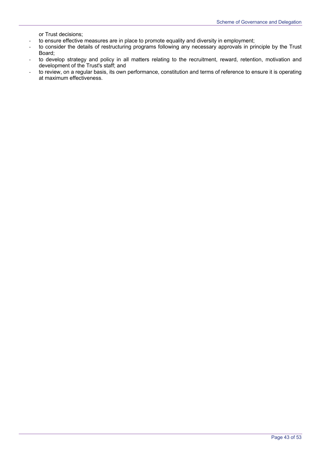or Trust decisions;

- to ensure effective measures are in place to promote equality and diversity in employment;
- to consider the details of restructuring programs following any necessary approvals in principle by the Trust Board;
- to develop strategy and policy in all matters relating to the recruitment, reward, retention, motivation and development of the Trust's staff; and
- to review, on a regular basis, its own performance, constitution and terms of reference to ensure it is operating at maximum effectiveness.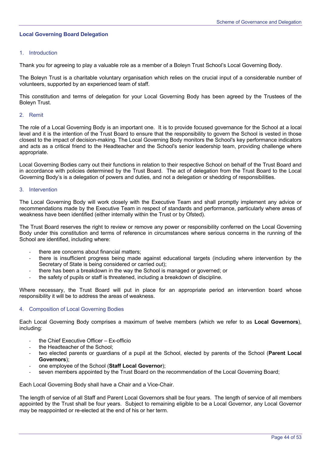# **Local Governing Board Delegation**

# 1. Introduction

Thank you for agreeing to play a valuable role as a member of a Boleyn Trust School's Local Governing Body.

The Boleyn Trust is a charitable voluntary organisation which relies on the crucial input of a considerable number of volunteers, supported by an experienced team of staff.

This constitution and terms of delegation for your Local Governing Body has been agreed by the Trustees of the Boleyn Trust.

## 2. Remit

The role of a Local Governing Body is an important one. It is to provide focused governance for the School at a local level and it is the intention of the Trust Board to ensure that the responsibility to govern the School is vested in those closest to the impact of decision-making. The Local Governing Body monitors the School's key performance indicators and acts as a critical friend to the Headteacher and the School's senior leadership team, providing challenge where appropriate.

Local Governing Bodies carry out their functions in relation to their respective School on behalf of the Trust Board and in accordance with policies determined by the Trust Board. The act of delegation from the Trust Board to the Local Governing Body's is a delegation of powers and duties, and not a delegation or shedding of responsibilities.

#### 3. Intervention

The Local Governing Body will work closely with the Executive Team and shall promptly implement any advice or recommendations made by the Executive Team in respect of standards and performance, particularly where areas of weakness have been identified (either internally within the Trust or by Ofsted).

The Trust Board reserves the right to review or remove any power or responsibility conferred on the Local Governing Body under this constitution and terms of reference in circumstances where serious concerns in the running of the School are identified, including where:

- there are concerns about financial matters:
- there is insufficient progress being made against educational targets (including where intervention by the Secretary of State is being considered or carried out);
- there has been a breakdown in the way the School is managed or governed; or
- the safety of pupils or staff is threatened, including a breakdown of discipline.

Where necessary, the Trust Board will put in place for an appropriate period an intervention board whose responsibility it will be to address the areas of weakness.

# 4. Composition of Local Governing Bodies

Each Local Governing Body comprises a maximum of twelve members (which we refer to as **Local Governors**), including:

- the Chief Executive Officer Ex-officio
- the Headteacher of the School:
- two elected parents or guardians of a pupil at the School, elected by parents of the School (**Parent Local Governors**);
- one employee of the School (**Staff Local Governor**);
- seven members appointed by the Trust Board on the recommendation of the Local Governing Board;

Each Local Governing Body shall have a Chair and a Vice-Chair.

The length of service of all Staff and Parent Local Governors shall be four years. The length of service of all members appointed by the Trust shall be four years. Subject to remaining eligible to be a Local Governor, any Local Governor may be reappointed or re-elected at the end of his or her term.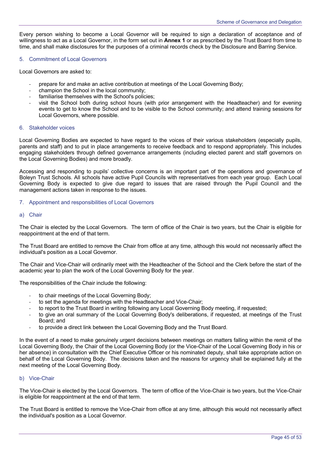Every person wishing to become a Local Governor will be required to sign a declaration of acceptance and of willingness to act as a Local Governor, in the form set out in **Annex 1** or as prescribed by the Trust Board from time to time, and shall make disclosures for the purposes of a criminal records check by the Disclosure and Barring Service.

## 5. Commitment of Local Governors

Local Governors are asked to:

- prepare for and make an active contribution at meetings of the Local Governing Body;
- champion the School in the local community;
- familiarise themselves with the School's policies;
- visit the School both during school hours (with prior arrangement with the Headteacher) and for evening events to get to know the School and to be visible to the School community; and attend training sessions for Local Governors, where possible.

## 6. Stakeholder voices

Local Governing Bodies are expected to have regard to the voices of their various stakeholders (especially pupils, parents and staff) and to put in place arrangements to receive feedback and to respond appropriately. This includes engaging stakeholders through defined governance arrangements (including elected parent and staff governors on the Local Governing Bodies) and more broadly.

Accessing and responding to pupils' collective concerns is an important part of the operations and governance of Boleyn Trust Schools. All schools have active Pupil Councils with representatives from each year group. Each Local Governing Body is expected to give due regard to issues that are raised through the Pupil Council and the management actions taken in response to the issues.

#### 7. Appointment and responsibilities of Local Governors

#### a) Chair

The Chair is elected by the Local Governors. The term of office of the Chair is two years, but the Chair is eligible for reappointment at the end of that term.

The Trust Board are entitled to remove the Chair from office at any time, although this would not necessarily affect the individual's position as a Local Governor.

The Chair and Vice-Chair will ordinarily meet with the Headteacher of the School and the Clerk before the start of the academic year to plan the work of the Local Governing Body for the year.

The responsibilities of the Chair include the following:

- to chair meetings of the Local Governing Body;
- to set the agenda for meetings with the Headteacher and Vice-Chair:
- to report to the Trust Board in writing following any Local Governing Body meeting, if requested;
- to give an oral summary of the Local Governing Body's deliberations, if requested, at meetings of the Trust Board; and
- to provide a direct link between the Local Governing Body and the Trust Board.

In the event of a need to make genuinely urgent decisions between meetings on matters falling within the remit of the Local Governing Body, the Chair of the Local Governing Body (or the Vice-Chair of the Local Governing Body in his or her absence) in consultation with the Chief Executive Officer or his nominated deputy, shall take appropriate action on behalf of the Local Governing Body. The decisions taken and the reasons for urgency shall be explained fully at the next meeting of the Local Governing Body.

## b) Vice-Chair

The Vice-Chair is elected by the Local Governors. The term of office of the Vice-Chair is two years, but the Vice-Chair is eligible for reappointment at the end of that term.

The Trust Board is entitled to remove the Vice-Chair from office at any time, although this would not necessarily affect the individual's position as a Local Governor.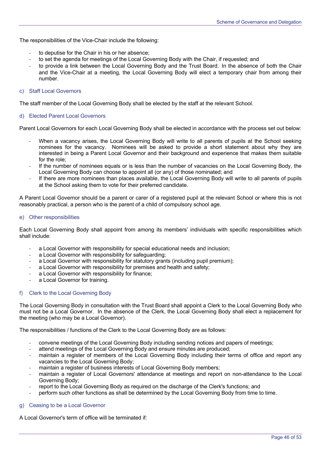The responsibilities of the Vice-Chair include the following:

- to deputise for the Chair in his or her absence;
- to set the agenda for meetings of the Local Governing Body with the Chair, if requested; and
- to provide a link between the Local Governing Body and the Trust Board. In the absence of both the Chair and the Vice-Chair at a meeting, the Local Governing Body will elect a temporary chair from among their number.

## c) Staff Local Governors

The staff member of the Local Governing Body shall be elected by the staff at the relevant School.

# d) Elected Parent Local Governors

Parent Local Governors for each Local Governing Body shall be elected in accordance with the process set out below:

- When a vacancy arises, the Local Governing Body will write to all parents of pupils at the School seeking nominees for the vacancy. Nominees will be asked to provide a short statement about why they are interested in being a Parent Local Governor and their background and experience that makes them suitable for the role;
- If the number of nominees equals or is less than the number of vacancies on the Local Governing Body, the Local Governing Body can choose to appoint all (or any) of those nominated; and
- If there are more nominees than places available, the Local Governing Body will write to all parents of pupils at the School asking them to vote for their preferred candidate.

A Parent Local Governor should be a parent or carer of a registered pupil at the relevant School or where this is not reasonably practical, a person who is the parent of a child of compulsory school age.

#### e) Other responsibilities

Each Local Governing Body shall appoint from among its members' individuals with specific responsibilities which shall include:

- a Local Governor with responsibility for special educational needs and inclusion;
- a Local Governor with responsibility for safeguarding:
- a Local Governor with responsibility for statutory grants (including pupil premium);
- a Local Governor with responsibility for premises and health and safety;
- a Local Governor with responsibility for finance;
- a Local Governor for training.

# f) Clerk to the Local Governing Body

The Local Governing Body in consultation with the Trust Board shall appoint a Clerk to the Local Governing Body who must not be a Local Governor. In the absence of the Clerk, the Local Governing Body shall elect a replacement for the meeting (who may be a Local Governor).

The responsibilities / functions of the Clerk to the Local Governing Body are as follows:

- convene meetings of the Local Governing Body including sending notices and papers of meetings;
- attend meetings of the Local Governing Body and ensure minutes are produced;
- maintain a register of members of the Local Governing Body including their terms of office and report any vacancies to the Local Governing Body;
- maintain a register of business interests of Local Governing Body members;
- maintain a register of Local Governors' attendance at meetings and report on non-attendance to the Local Governing Body;
- report to the Local Governing Body as required on the discharge of the Clerk's functions; and
- perform such other functions as shall be determined by the Local Governing Body from time to time.

# g) Ceasing to be a Local Governor

A Local Governor's term of office will be terminated if: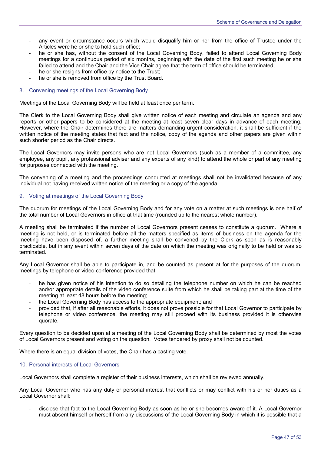- any event or circumstance occurs which would disqualify him or her from the office of Trustee under the Articles were he or she to hold such office;
- he or she has, without the consent of the Local Governing Body, failed to attend Local Governing Body meetings for a continuous period of six months, beginning with the date of the first such meeting he or she failed to attend and the Chair and the Vice Chair agree that the term of office should be terminated;
- he or she resigns from office by notice to the Trust;
- he or she is removed from office by the Trust Board.

# 8. Convening meetings of the Local Governing Body

Meetings of the Local Governing Body will be held at least once per term.

The Clerk to the Local Governing Body shall give written notice of each meeting and circulate an agenda and any reports or other papers to be considered at the meeting at least seven clear days in advance of each meeting. However, where the Chair determines there are matters demanding urgent consideration, it shall be sufficient if the written notice of the meeting states that fact and the notice, copy of the agenda and other papers are given within such shorter period as the Chair directs.

The Local Governors may invite persons who are not Local Governors (such as a member of a committee, any employee, any pupil, any professional adviser and any experts of any kind) to attend the whole or part of any meeting for purposes connected with the meeting.

The convening of a meeting and the proceedings conducted at meetings shall not be invalidated because of any individual not having received written notice of the meeting or a copy of the agenda.

# 9. Voting at meetings of the Local Governing Body

The quorum for meetings of the Local Governing Body and for any vote on a matter at such meetings is one half of the total number of Local Governors in office at that time (rounded up to the nearest whole number).

A meeting shall be terminated if the number of Local Governors present ceases to constitute a quorum. Where a meeting is not held, or is terminated before all the matters specified as items of business on the agenda for the meeting have been disposed of, a further meeting shall be convened by the Clerk as soon as is reasonably practicable, but in any event within seven days of the date on which the meeting was originally to be held or was so terminated.

Any Local Governor shall be able to participate in, and be counted as present at for the purposes of the quorum, meetings by telephone or video conference provided that:

- he has given notice of his intention to do so detailing the telephone number on which he can be reached and/or appropriate details of the video conference suite from which he shall be taking part at the time of the meeting at least 48 hours before the meeting;
- the Local Governing Body has access to the appropriate equipment; and
- provided that, if after all reasonable efforts, it does not prove possible for that Local Governor to participate by telephone or video conference, the meeting may still proceed with its business provided it is otherwise quorate.

Every question to be decided upon at a meeting of the Local Governing Body shall be determined by most the votes of Local Governors present and voting on the question. Votes tendered by proxy shall not be counted.

Where there is an equal division of votes, the Chair has a casting vote.

# 10. Personal interests of Local Governors

Local Governors shall complete a register of their business interests, which shall be reviewed annually.

Any Local Governor who has any duty or personal interest that conflicts or may conflict with his or her duties as a Local Governor shall:

- disclose that fact to the Local Governing Body as soon as he or she becomes aware of it. A Local Governor must absent himself or herself from any discussions of the Local Governing Body in which it is possible that a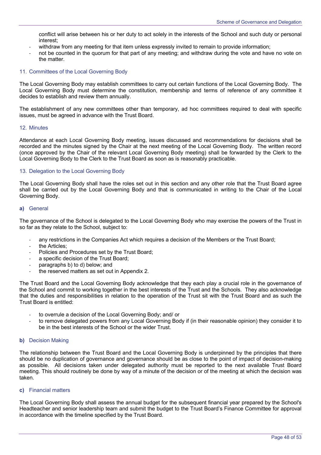conflict will arise between his or her duty to act solely in the interests of the School and such duty or personal interest;

- withdraw from any meeting for that item unless expressly invited to remain to provide information;
- not be counted in the quorum for that part of any meeting; and withdraw during the vote and have no vote on the matter.

## 11. Committees of the Local Governing Body

The Local Governing Body may establish committees to carry out certain functions of the Local Governing Body. The Local Governing Body must determine the constitution, membership and terms of reference of any committee it decides to establish and review them annually.

The establishment of any new committees other than temporary, ad hoc committees required to deal with specific issues, must be agreed in advance with the Trust Board.

#### 12. Minutes

Attendance at each Local Governing Body meeting, issues discussed and recommendations for decisions shall be recorded and the minutes signed by the Chair at the next meeting of the Local Governing Body. The written record (once approved by the Chair of the relevant Local Governing Body meeting) shall be forwarded by the Clerk to the Local Governing Body to the Clerk to the Trust Board as soon as is reasonably practicable.

#### 13. Delegation to the Local Governing Body

The Local Governing Body shall have the roles set out in this section and any other role that the Trust Board agree shall be carried out by the Local Governing Body and that is communicated in writing to the Chair of the Local Governing Body.

#### **a)** General

The governance of the School is delegated to the Local Governing Body who may exercise the powers of the Trust in so far as they relate to the School, subject to:

- any restrictions in the Companies Act which requires a decision of the Members or the Trust Board;
- the Articles:
- Policies and Procedures set by the Trust Board:
- a specific decision of the Trust Board;
- paragraphs b) to d) below; and
- the reserved matters as set out in Appendix 2.

The Trust Board and the Local Governing Body acknowledge that they each play a crucial role in the governance of the School and commit to working together in the best interests of the Trust and the Schools. They also acknowledge that the duties and responsibilities in relation to the operation of the Trust sit with the Trust Board and as such the Trust Board is entitled:

- to overrule a decision of the Local Governing Body; and/ or
- to remove delegated powers from any Local Governing Body if (in their reasonable opinion) they consider it to be in the best interests of the School or the wider Trust.

# **b)** Decision Making

The relationship between the Trust Board and the Local Governing Body is underpinned by the principles that there should be no duplication of governance and governance should be as close to the point of impact of decision-making as possible. All decisions taken under delegated authority must be reported to the next available Trust Board meeting. This should routinely be done by way of a minute of the decision or of the meeting at which the decision was taken.

#### **c)** Financial matters

The Local Governing Body shall assess the annual budget for the subsequent financial year prepared by the School's Headteacher and senior leadership team and submit the budget to the Trust Board's Finance Committee for approval in accordance with the timeline specified by the Trust Board.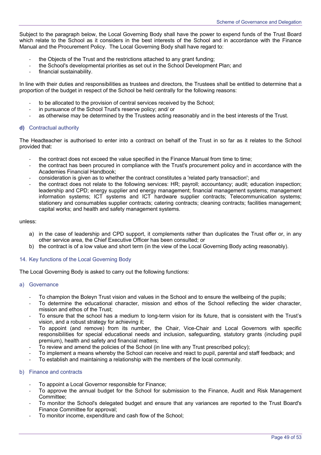Subject to the paragraph below, the Local Governing Body shall have the power to expend funds of the Trust Board which relate to the School as it considers in the best interests of the School and in accordance with the Finance Manual and the Procurement Policy. The Local Governing Body shall have regard to:

- the Obiects of the Trust and the restrictions attached to any grant funding;
- the School's developmental priorities as set out in the School Development Plan; and
- financial sustainability.

In line with their duties and responsibilities as trustees and directors, the Trustees shall be entitled to determine that a proportion of the budget in respect of the School be held centrally for the following reasons:

- to be allocated to the provision of central services received by the School;
- in pursuance of the School Trust's reserve policy; and/ or
- as otherwise may be determined by the Trustees acting reasonably and in the best interests of the Trust.

# **d)** Contractual authority

The Headteacher is authorised to enter into a contract on behalf of the Trust in so far as it relates to the School provided that:

- the contract does not exceed the value specified in the Finance Manual from time to time;
- the contract has been procured in compliance with the Trust's procurement policy and in accordance with the Academies Financial Handbook;
- consideration is given as to whether the contract constitutes a 'related party transaction'; and
- the contract does not relate to the following services: HR; payroll; accountancy; audit; education inspection; leadership and CPD; energy supplier and energy management; financial management systems; management information systems; ICT systems and ICT hardware supplier contracts; Telecommunication systems; stationery and consumables supplier contracts; catering contracts; cleaning contracts; facilities management; capital works; and health and safety management systems.

#### unless:

- a) in the case of leadership and CPD support, it complements rather than duplicates the Trust offer or, in any other service area, the Chief Executive Officer has been consulted; or
- b) the contract is of a low value and short term (in the view of the Local Governing Body acting reasonably).

# 14. Key functions of the Local Governing Body

The Local Governing Body is asked to carry out the following functions:

#### a) Governance

- To champion the Boleyn Trust vision and values in the School and to ensure the wellbeing of the pupils;
- To determine the educational character, mission and ethos of the School reflecting the wider character, mission and ethos of the Trust;
- To ensure that the school has a medium to long-term vision for its future, that is consistent with the Trust's vision, and a robust strategy for achieving it;
- To appoint (and remove) from its number, the Chair, Vice-Chair and Local Governors with specific responsibilities for special educational needs and inclusion, safeguarding, statutory grants (including pupil premium), health and safety and financial matters;
- To review and amend the policies of the School (in line with any Trust prescribed policy);
- To implement a means whereby the School can receive and react to pupil, parental and staff feedback; and
- To establish and maintaining a relationship with the members of the local community.

## b) Finance and contracts

- To appoint a Local Governor responsible for Finance;
- To approve the annual budget for the School for submission to the Finance, Audit and Risk Management Committee;
- To monitor the School's delegated budget and ensure that any variances are reported to the Trust Board's Finance Committee for approval;
- To monitor income, expenditure and cash flow of the School;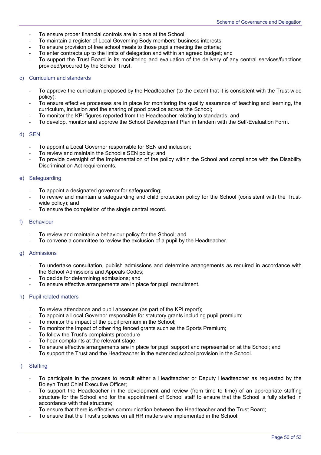- To ensure proper financial controls are in place at the School;
- To maintain a register of Local Governing Body members' business interests;
- To ensure provision of free school meals to those pupils meeting the criteria;
- To enter contracts up to the limits of delegation and within an agreed budget; and
- To support the Trust Board in its monitoring and evaluation of the delivery of any central services/functions provided/procured by the School Trust.

# c) Curriculum and standards

- To approve the curriculum proposed by the Headteacher (to the extent that it is consistent with the Trust-wide policy);
- To ensure effective processes are in place for monitoring the quality assurance of teaching and learning, the curriculum, inclusion and the sharing of good practice across the School;
- To monitor the KPI figures reported from the Headteacher relating to standards; and
- To develop, monitor and approve the School Development Plan in tandem with the Self-Evaluation Form.

# d) SEN

- To appoint a Local Governor responsible for SEN and inclusion;
- To review and maintain the School's SEN policy; and
- To provide oversight of the implementation of the policy within the School and compliance with the Disability Discrimination Act requirements.

# e) Safeguarding

- To appoint a designated governor for safeguarding;
- To review and maintain a safeguarding and child protection policy for the School (consistent with the Trustwide policy); and
- To ensure the completion of the single central record.

# f) Behaviour

- To review and maintain a behaviour policy for the School; and
- To convene a committee to review the exclusion of a pupil by the Headteacher.

#### g) Admissions

- To undertake consultation, publish admissions and determine arrangements as required in accordance with the School Admissions and Appeals Codes;
- To decide for determining admissions; and
- To ensure effective arrangements are in place for pupil recruitment.

#### h) Pupil related matters

- To review attendance and pupil absences (as part of the KPI report);
- To appoint a Local Governor responsible for statutory grants including pupil premium;
- To monitor the impact of the pupil premium in the School;
- To monitor the impact of other ring fenced grants such as the Sports Premium;
- To follow the Trust's complaints procedure
- To hear complaints at the relevant stage;
- To ensure effective arrangements are in place for pupil support and representation at the School; and
- To support the Trust and the Headteacher in the extended school provision in the School.

# i) Staffing

- To participate in the process to recruit either a Headteacher or Deputy Headteacher as requested by the Boleyn Trust Chief Executive Officer;
- To support the Headteacher in the development and review (from time to time) of an appropriate staffing structure for the School and for the appointment of School staff to ensure that the School is fully staffed in accordance with that structure;
- To ensure that there is effective communication between the Headteacher and the Trust Board;
- To ensure that the Trust's policies on all HR matters are implemented in the School;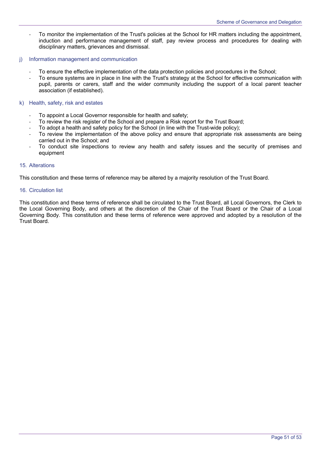- To monitor the implementation of the Trust's policies at the School for HR matters including the appointment, induction and performance management of staff, pay review process and procedures for dealing with disciplinary matters, grievances and dismissal.
- j) Information management and communication
	- To ensure the effective implementation of the data protection policies and procedures in the School;
	- To ensure systems are in place in line with the Trust's strategy at the School for effective communication with pupil, parents or carers, staff and the wider community including the support of a local parent teacher association (if established).
- k) Health, safety, risk and estates
	- To appoint a Local Governor responsible for health and safety;
	- To review the risk register of the School and prepare a Risk report for the Trust Board;
	- To adopt a health and safety policy for the School (in line with the Trust-wide policy);
	- To review the implementation of the above policy and ensure that appropriate risk assessments are being carried out in the School; and
	- To conduct site inspections to review any health and safety issues and the security of premises and equipment

#### 15. Alterations

This constitution and these terms of reference may be altered by a majority resolution of the Trust Board.

#### 16. Circulation list

This constitution and these terms of reference shall be circulated to the Trust Board, all Local Governors, the Clerk to the Local Governing Body, and others at the discretion of the Chair of the Trust Board or the Chair of a Local Governing Body. This constitution and these terms of reference were approved and adopted by a resolution of the Trust Board.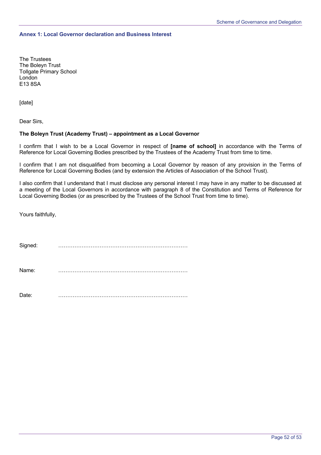# **Annex 1: Local Governor declaration and Business Interest**

The Trustees The Boleyn Trust Tollgate Primary School London E13 8SA

[date]

Dear Sirs,

## **The Boleyn Trust (Academy Trust) – appointment as a Local Governor**

I confirm that I wish to be a Local Governor in respect of **[name of school]** in accordance with the Terms of Reference for Local Governing Bodies prescribed by the Trustees of the Academy Trust from time to time.

I confirm that I am not disqualified from becoming a Local Governor by reason of any provision in the Terms of Reference for Local Governing Bodies (and by extension the Articles of Association of the School Trust).

I also confirm that I understand that I must disclose any personal interest I may have in any matter to be discussed at a meeting of the Local Governors in accordance with paragraph 8 of the Constitution and Terms of Reference for Local Governing Bodies (or as prescribed by the Trustees of the School Trust from time to time).

Yours faithfully,

| Signed: | . |
|---------|---|
| Name:   | . |
| Date:   |   |